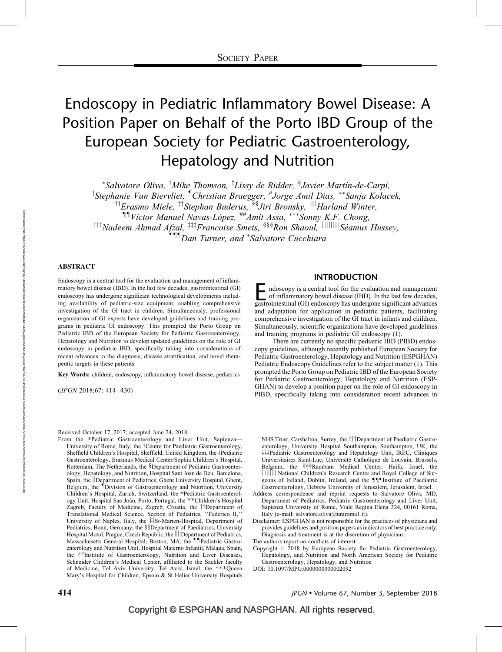# Endoscopy in Pediatric Inflammatory Bowel Disease: A Position Paper on Behalf of the Porto IBD Group of the European Society for Pediatric Gastroenterology, Hepatology and Nutrition

\*Salvatore Oliva, <sup>†</sup>Mike Thomson, <sup>‡</sup>Lissy de Ridder, <sup>§</sup>Javier Martín-de-Carpi,  $\mathbb{I}$ Stephanie Van Biervliet,  $\mathbb{I}$ Christian Braegger,  $^{\#}$ Jorge Amil Dias,  $^{**}$ Sanja Kolacek, <sup>††</sup>Erasmo Miele, <sup>‡‡</sup>Stephan Buderus, <sup>§§</sup>Jiri Bronsky, <sup>||||</sup>Harland Winter, <sup>11</sup>Victor Manuel Navas-López, <sup>##</sup>Amit Assa, \*\*\*Sonny K.F. Chong,  $^{111}$ Nadeem Ahmad Afzal,  $^{111}$ Francoise Smets,  $^{888}$ Ron Shaoul,  $\parallel$ ||||||||||||Séamus Hussey, **TIT** Dan Turner, and \*Salvatore Cucchiara

#### ABSTRACT

Endoscopy is a central tool for the evaluation and management of inflammatory bowel disease (IBD). In the last few decades, gastrointestinal (GI) endoscopy has undergone significant technological developments including availability of pediatric-size equipment, enabling comprehensive investigation of the GI tract in children. Simultaneously, professional organization of GI experts have developed guidelines and training programs in pediatric GI endoscopy. This prompted the Porto Group on Pediatric IBD of the European Society for Pediatric Gastroenterology, Hepatology and Nutrition to develop updated guidelines on the role of GI endoscopy in pediatric IBD, specifically taking into considerations of recent advances in the diagnosis, disease stratification, and novel therapeutic targets in these patients.

Key Words: children, endoscopy, inflammatory bowel disease, pediatrics

(JPGN 2018;67: 414–430)

### INTRODUCTION

Endoscopy is a central tool for the evaluation and management of inflammatory bowel disease (IBD). In the last few decades, gastrointestinal (GI) endoscopy has undergone significant advances and adaptation for application in pediatric patients, facilitating comprehensive investigation of the GI tract in infants and children. Simultaneously, scientific organizations have developed guidelines and training programs in pediatric GI endoscopy (1).

There are currently no specific pediatric IBD (PIBD) endoscopy guidelines, although recently published European Society for Pediatric Gastroenterology, Hepatology and Nutrition (ESPGHAN) Pediatric Endoscopy Guidelines refer to the subject matter (1). This prompted the Porto Group on Pediatric IBD of the European Society for Pediatric Gastroenterology, Hepatology and Nutrition (ESP-GHAN) to develop a position paper on the role of GI endoscopy in PIBD, specifically taking into consideration recent advances in

Received October 17, 2017; accepted June 24, 2018.

From the \*Pediatric Gastroenterology and Liver Unit, Sapienza— University of Rome, Italy, the  $\dagger$ Centre for Paediatric Gastroenterology, Sheffield Children's Hospital, Sheffield, United Kingdom, the ‡Pediatric Gastroenterology, Erasmus Medical Center/Sophia Children's Hospital, Rotterdam, The Netherlands, the §Department of Pediatric Gastroenterology, Hepatology, and Nutrition, Hospital Sant Joan de Déu, Barcelona, Spain, the *Department of Pediatrics*, Ghent University Hospital, Ghent, Belgium, the *Division of Gastroenterology and Nutrition*, University Children's Hospital, Zurich, Switzerland, the #Pediatric Gastroenterology Unit, Hospital Sao João, Porto, Portugal, the \*\* Children's Hospital Zagreb, Faculty of Medicine, Zagreb, Croatia, the ††Department of Translational Medical Science, Section of Pediatrics, ''Federico II,'' University of Naples, Italy, the #St-Marien-Hospital, Department of Pediatrics, Bonn, Germany, the §§Department of Paediatrics, University Hospital Motol, Prague, Czech Republic, the ||||Department of Pediatrics, Massachusetts General Hospital, Boston, MA, the *IIPediatric Gastro*enterology and Nutrition Unit, Hospital Materno Infantil, Málaga, Spain, the ##Institute of Gastroenterology, Nutrition and Liver Diseases, Schneider Children's Medical Center, affiliated to the Sackler faculty of Medicine, Tel Aviv University, Tel Aviv, Israel, the \*\*\* Queen Mary's Hospital for Children, Epsom & St Helier University Hospitals

NHS Trust, Carshalton, Surrey, the ##Department of Paediatric Gastroenterology, University Hospital Southampton, Southampton, UK, the ##Pediatric Gastroenterology and Hepatology Unit, IREC, Cliniques Universitaires Saint-Luc, Universite´ Catholique de Louvain, Brussels, Belgium, the §§§Rambam Medical Center, Haifa, Israel, the jjjjjjjjjjNational Children's Research Centre and Royal College of Surgeons of Ireland, Dublin, Ireland, and the **[[**] Institute of Paediatric Gastroenterology, Hebrew University of Jerusalem, Jerusalem, Israel.

Address correspondence and reprint requests to Salvatore Oliva, MD, Department of Pediatrics, Pediatric Gastroenterology and Liver Unit, Sapienza University of Rome, Viale Regina Elena 324, 00161 Roma, Italy (e-mail: [salvatore.oliva@uniroma1.it](mailto:salvatore.oliva@uniroma1.it)).

Disclaimer: ESPGHAN is not responsible for the practices of physicians and provides guidelines and position papers as indicators of best practice only. Diagnosis and treatment is at the discretion of physicians.

The authors report no conflicts of interest.

Copyright  $\oslash$  2018 by European Society for Pediatric Gastroenterology, Hepatology, and Nutrition and North American Society for Pediatric Gastroenterology, Hepatology, and Nutrition

DOI: [10.1097/MPG.0000000000002092](http://dx.doi.org/10.1097/MPG.0000000000002092)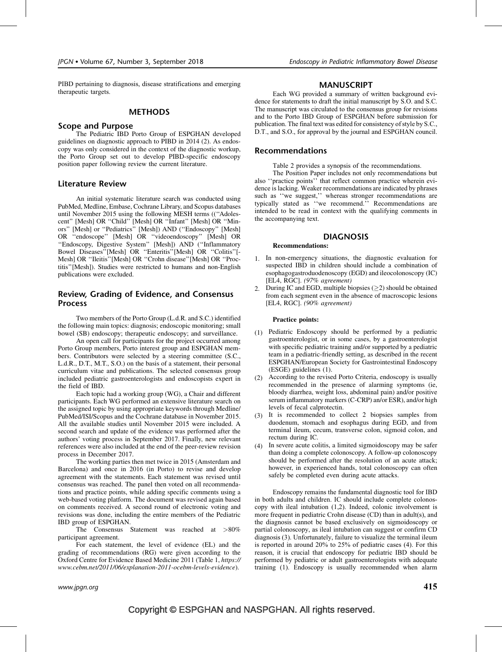PIBD pertaining to diagnosis, disease stratifications and emerging therapeutic targets.

### METHODS

## Scope and Purpose

The Pediatric IBD Porto Group of ESPGHAN developed guidelines on diagnostic approach to PIBD in 2014 (2). As endoscopy was only considered in the context of the diagnostic workup, the Porto Group set out to develop PIBD-specific endoscopy position paper following review the current literature.

## Literature Review

An initial systematic literature search was conducted using PubMed, Medline, Embase, Cochrane Library, and Scopus databases until November 2015 using the following MESH terms ((''Adolescent'' [Mesh] OR ''Child'' [Mesh] OR ''Infant'' [Mesh] OR ''Minors'' [Mesh] or ''Pediatrics'' [Mesh]) AND (''Endoscopy'' [Mesh] OR ''endoscope'' [Mesh] OR ''videoendoscopy'' [Mesh] OR ''Endoscopy, Digestive System'' [Mesh]) AND (''Inflammatory Bowel Diseases''[Mesh] OR ''Enteritis''[Mesh] OR ''Colitis''[- Mesh] OR ''Ileitis''[Mesh] OR ''Crohn disease''[Mesh] OR ''Proctitis''[Mesh]). Studies were restricted to humans and non-English publications were excluded.

## Review, Grading of Evidence, and Consensus Process

Two members of the Porto Group (L.d.R. and S.C.) identified the following main topics: diagnosis; endoscopic monitoring; small bowel (SB) endoscopy; therapeutic endoscopy; and surveillance.

An open call for participants for the project occurred among Porto Group members, Porto interest group and ESPGHAN members. Contributors were selected by a steering committee (S.C., L.d.R., D.T., M.T., S.O.) on the basis of a statement, their personal curriculum vitae and publications. The selected consensus group included pediatric gastroenterologists and endoscopists expert in the field of IBD.

Each topic had a working group (WG), a Chair and different participants. Each WG performed an extensive literature search on the assigned topic by using appropriate keywords through Medline/ PubMed/ISI/Scopus and the Cochrane database in November 2015. All the available studies until November 2015 were included. A second search and update of the evidence was performed after the authors' voting process in September 2017. Finally, new relevant references were also included at the end of the peer-review revision process in December 2017.

The working parties then met twice in 2015 (Amsterdam and Barcelona) and once in 2016 (in Porto) to revise and develop agreement with the statements. Each statement was revised until consensus was reached. The panel then voted on all recommendations and practice points, while adding specific comments using a web-based voting platform. The document was revised again based on comments received. A second round of electronic voting and revisions was done, including the entire members of the Pediatric IBD group of ESPGHAN.

The Consensus Statement was reached at >80% participant agreement.

For each statement, the level of evidence (EL) and the grading of recommendations (RG) were given according to the Oxford Centre for Evidence Based Medicine 2011 (Table 1, [https://](https://www.cebm.net/2011/06/explanation-2011-ocebm-levels-evidence) [www.cebm.net/2011/06/explanation-2011-ocebm-levels-evidence](https://www.cebm.net/2011/06/explanation-2011-ocebm-levels-evidence)).

#### MANUSCRIPT

Each WG provided a summary of written background evidence for statements to draft the initial manuscript by S.O. and S.C. The manuscript was circulated to the consensus group for revisions and to the Porto IBD Group of ESPGHAN before submission for publication. The final text was edited for consistency of style by S.C., D.T., and S.O., for approval by the journal and ESPGHAN council.

#### Recommendations

Table 2 provides a synopsis of the recommendations.

The Position Paper includes not only recommendations but also ''practice points'' that reflect common practice wherein evidence is lacking. Weaker recommendations are indicated by phrases such as "we suggest," whereas stronger recommendations are typically stated as ''we recommend.'' Recommendations are intended to be read in context with the qualifying comments in the accompanying text.

#### DIAGNOSIS

#### Recommendations:

- 1. In non-emergency situations, the diagnostic evaluation for suspected IBD in children should include a combination of esophagogastroduodenoscopy (EGD) and ileocolonoscopy (IC) [EL4, RGC]. (97% agreement)
- 2. During IC and EGD, multiple biopsies  $(>= 2)$  should be obtained from each segment even in the absence of macroscopic lesions [EL4, RGC]. (90% agreement)

#### Practice points:

- (1) Pediatric Endoscopy should be performed by a pediatric gastroenterologist, or in some cases, by a gastroenterologist with specific pediatric training and/or supported by a pediatric team in a pediatric-friendly setting, as described in the recent ESPGHAN/European Society for Gastrointestinal Endoscopy (ESGE) guidelines (1).
- (2) According to the revised Porto Criteria, endoscopy is usually recommended in the presence of alarming symptoms (ie, bloody diarrhea, weight loss, abdominal pain) and/or positive serum inflammatory markers (C-CRP) an/or ESR), and/or high levels of fecal calprotectin.
- (3) It is recommended to collect 2 biopsies samples from duodenum, stomach and esophagus during EGD, and from terminal ileum, cecum, transverse colon, sigmoid colon, and rectum during IC.
- (4) In severe acute colitis, a limited sigmoidoscopy may be safer than doing a complete colonoscopy. A follow-up colonoscopy should be performed after the resolution of an acute attack; however, in experienced hands, total colonoscopy can often safely be completed even during acute attacks.

Endoscopy remains the fundamental diagnostic tool for IBD in both adults and children. IC should include complete colonoscopy with ileal intubation (1,2). Indeed, colonic involvement is more frequent in pediatric Crohn disease (CD) than in adult(s), and the diagnosis cannot be based exclusively on sigmoidoscopy or partial colonoscopy, as ileal intubation can suggest or confirm CD diagnosis (3). Unfortunately, failure to visualize the terminal ileum is reported in around 20% to 25% of pediatric cases (4). For this reason, it is crucial that endoscopy for pediatric IBD should be performed by pediatric or adult gastroenterologists with adequate training (1). Endoscopy is usually recommended when alarm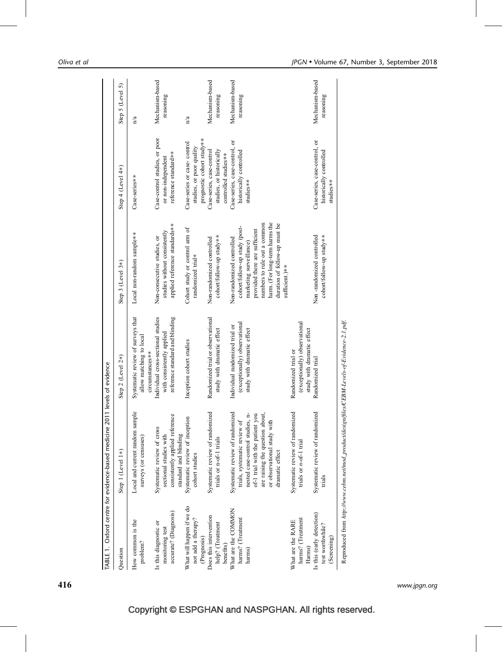|                                                                                                                  | TABLE 1. Oxford centre for evidence-based medicine 2011 levels of evidence                                                                                                                                                 |                                                                                                        |                                                                                                                                                                                                                                             |                                                                                       |                              |
|------------------------------------------------------------------------------------------------------------------|----------------------------------------------------------------------------------------------------------------------------------------------------------------------------------------------------------------------------|--------------------------------------------------------------------------------------------------------|---------------------------------------------------------------------------------------------------------------------------------------------------------------------------------------------------------------------------------------------|---------------------------------------------------------------------------------------|------------------------------|
| Question                                                                                                         | Step 1 (Level 1*)                                                                                                                                                                                                          | Step 2 (Level 2*)                                                                                      | Step 3 (Level 3*)                                                                                                                                                                                                                           | Step 4 (Level 4*)                                                                     | Step 5 (Level 5)             |
| How common is the<br>problem?                                                                                    | Local and current random sample<br>surveys (or censuses)                                                                                                                                                                   | Systematic review of surveys that<br>allow matching to local<br>circumstances**                        | Local non-random sample**                                                                                                                                                                                                                   | Case-series**                                                                         | n/a                          |
| accurate? (Diagnosis)<br>Is this diagnostic or<br>monitoring test                                                | consistently applied reference<br>Systematic review of cross<br>standard and blinding<br>sectional studies with                                                                                                            | Individual cross-sectional studies<br>reference standard and blinding<br>with consistently applied     | applied reference standards**<br>studies without consistently<br>Non-consecutive studies, or                                                                                                                                                | Case-control studies, or poor<br>reference standard**<br>or non-independent           | Mechanism-based<br>reasoning |
| What will happen if we do<br>not add a therapy?<br>(Prognosis)                                                   | Systematic review of inception<br>cohort studies                                                                                                                                                                           | Inception cohort studies                                                                               | Cohort study or control arm of<br>randomized trial*                                                                                                                                                                                         | prognostic cohort study**<br>Case-series or case- control<br>studies, or poor quality | n/a                          |
| Does this intervention<br>help? (Treatment<br>benefits)                                                          | Systematic review of randomized<br>trials or n-of-1 trials                                                                                                                                                                 | Randomized trial or observational<br>study with dramatic effect                                        | cohort/follow-up study**<br>Non-randomized controlled                                                                                                                                                                                       | Case-series, case-control<br>studies, or historically<br>controlled studies**         | Mechanism-based<br>reasoning |
| What are the COMMON<br>harms? (Treatment<br>harms)                                                               | Systematic review of randomized<br>nested case-control studies, n-<br>are raising the question about,<br>of-1 trial with the patient you<br>or observational study with<br>trials, systematic review of<br>dramatic effect | (exceptionally) observational<br>Individual randomized trial or<br>study with dramatic effect          | harm. (For long-term harms the<br>numbers to rule out a common<br>duration of follow-up must be<br>cohort/follow-up study (post-<br>provided there are sufficient<br>Non-randomized controlled<br>marketing surveillance)<br>sufficient.)** | Case-series, case-control, or<br>historically controlled<br>studies**                 | Mechanism-based<br>reasoning |
| Is this (early detection)<br>harms? (Treatment<br>What are the RARE<br>test worthwhile?<br>(Screening)<br>Harms) | Systematic review of randomized<br>Systematic review of randomized<br>trials or <i>n</i> -of-1 trial<br>trials                                                                                                             | (exceptionally) observational<br>study with dramatic effect<br>Randomized trial or<br>Randomized trial | Non-randomized controlled<br>cohort/follow-up study**                                                                                                                                                                                       | Case-series, case-control, or<br>historically controlled<br>studies**                 | Mechanism-based<br>reasoning |
|                                                                                                                  | Reproduced from http://www.cebm.net/mod_product/design/files/CEBM-Levels-of-Evidence-2.1.pdf.                                                                                                                              |                                                                                                        |                                                                                                                                                                                                                                             |                                                                                       |                              |

416 www.jpgn.org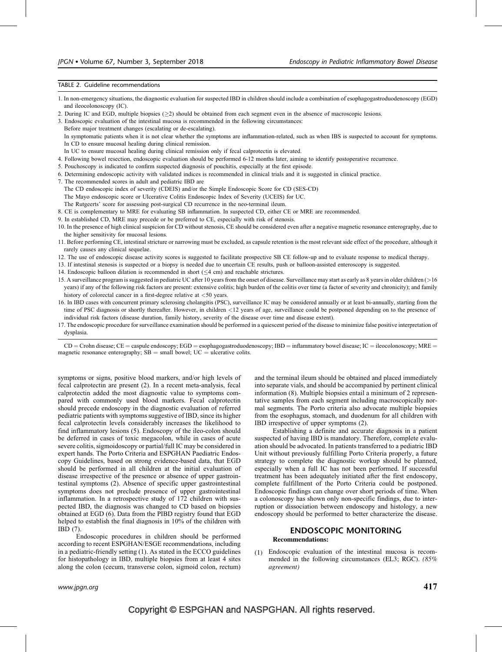#### TABLE 2. Guideline recommendations

- 1. In non-emergency situations, the diagnostic evaluation for suspected IBD in children should include a combination of esophagogastroduodenoscopy (EGD) and ileocolonoscopy (IC).
- 2. During IC and EGD, multiple biopsies  $(\geq 2)$  should be obtained from each segment even in the absence of macroscopic lesions.
- 3. Endoscopic evaluation of the intestinal mucosa is recommended in the following circumstances:
- Before major treatment changes (escalating or de-escalating).
	- In symptomatic patients when it is not clear whether the symptoms are inflammation-related, such as when IBS is suspected to account for symptoms. In CD to ensure mucosal healing during clinical remission.
- In UC to ensure mucosal healing during clinical remission only if fecal calprotectin is elevated.
- 4. Following bowel resection, endoscopic evaluation should be performed 6-12 months later, aiming to identify postoperative recurrence.
- 5. Pouchoscopy is indicated to confirm suspected diagnosis of pouchitis, especially at the first episode.
- 6. Determining endoscopic activity with validated indices is recommended in clinical trials and it is suggested in clinical practice.
- 7. The recommended scores in adult and pediatric IBD are
- The CD endoscopic index of severity (CDEIS) and/or the Simple Endoscopic Score for CD (SES-CD)
- The Mayo endoscopic score or Ulcerative Colitis Endoscopic Index of Severity (UCEIS) for UC.
- The Rutgeerts' score for assessing post-surgical CD recurrence in the neo-terminal ileum.
- 8. CE is complementary to MRE for evaluating SB inflammation. In suspected CD, either CE or MRE are recommended.
- 9. In established CD, MRE may precede or be preferred to CE, especially with risk of stenosis.
- 10. In the presence of high clinical suspicion for CD without stenosis, CE should be considered even after a negative magnetic resonance enterography, due to the higher sensitivity for mucosal lesions.
- 11. Before performing CE, intestinal stricture or narrowing must be excluded, as capsule retention is the most relevant side effect of the procedure, although it rarely causes any clinical sequelae.
- 12. The use of endoscopic disease activity scores is suggested to facilitate prospective SB CE follow-up and to evaluate response to medical therapy.
- 13. If intestinal stenosis is suspected or a biopsy is needed due to uncertain CE results, push or balloon-assisted enteroscopy is suggested.
- 14. Endoscopic balloon dilation is recommended in short  $( $4 \text{ cm}$ )$  and reachable strictures.
- 15. A surveillance program is suggested in pediatric UC after 10 years from the onset of disease. Surveillance may start as early as 8 years in older children (>16 years) if any of the following risk factors are present: extensive colitis; high burden of the colitis over time (a factor of severity and chronicity); and family history of colorectal cancer in a first-degree relative at  $\lt 50$  years.
- 16. In IBD cases with concurrent primary sclerosing cholangitis (PSC), surveillance IC may be considered annually or at least bi-annually, starting from the time of PSC diagnosis or shortly thereafter. However, in children <12 years of age, surveillance could be postponed depending on to the presence of individual risk factors (disease duration, family history, severity of the disease over time and disease extent).
- 17. The endoscopic procedure for surveillance examination should be performed in a quiescent period of the disease to minimize false positive interpretation of dysplasia.

 $CD =$ Crohn disease; CE = caspule endoscopy; EGD = esophagogastroduodenoscopy; IBD = inflammatory bowel disease; IC = ileocolonoscopy; MRE = magnetic resonance enterography;  $SB =$  small bowel;  $UC =$  ulcerative colits.

symptoms or signs, positive blood markers, and/or high levels of fecal calprotectin are present (2). In a recent meta-analysis, fecal calprotectin added the most diagnostic value to symptoms compared with commonly used blood markers. Fecal calprotectin should precede endoscopy in the diagnostic evaluation of referred pediatric patients with symptoms suggestive of IBD, since its higher fecal calprotectin levels considerably increases the likelihood to find inflammatory lesions (5). Endoscopy of the ileo-colon should be deferred in cases of toxic megacolon, while in cases of acute severe colitis, sigmoidoscopy or partial/full IC may be considered in expert hands. The Porto Criteria and ESPGHAN Paediatric Endoscopy Guidelines, based on strong evidence-based data, that EGD should be performed in all children at the initial evaluation of disease irrespective of the presence or absence of upper gastrointestinal symptoms (2). Absence of specific upper gastrointestinal symptoms does not preclude presence of upper gastrointestinal inflammation. In a retrospective study of 172 children with suspected IBD, the diagnosis was changed to CD based on biopsies obtained at EGD (6). Data from the PIBD registry found that EGD helped to establish the final diagnosis in 10% of the children with IBD (7).

Endoscopic procedures in children should be performed according to recent ESPGHAN/ESGE recommendations, including in a pediatric-friendly setting (1). As stated in the ECCO guidelines for histopathology in IBD, multiple biopsies from at least 4 sites along the colon (cecum, transverse colon, sigmoid colon, rectum)

and the terminal ileum should be obtained and placed immediately into separate vials, and should be accompanied by pertinent clinical information (8). Multiple biopsies entail a minimum of 2 representative samples from each segment including macroscopically normal segments. The Porto criteria also advocate multiple biopsies from the esophagus, stomach, and duodenum for all children with IBD irrespective of upper symptoms (2).

Establishing a definite and accurate diagnosis in a patient suspected of having IBD is mandatory. Therefore, complete evaluation should be advocated. In patients transferred to a pediatric IBD Unit without previously fulfilling Porto Criteria properly, a future strategy to complete the diagnostic workup should be planned, especially when a full IC has not been performed. If successful treatment has been adequately initiated after the first endoscopy, complete fulfillment of the Porto Criteria could be postponed. Endoscopic findings can change over short periods of time. When a colonoscopy has shown only non-specific findings, due to interruption or dissociation between endoscopy and histology, a new endoscopy should be performed to better characterize the disease.

### ENDOSCOPIC MONITORING Recommendations:

(1) Endoscopic evaluation of the intestinal mucosa is recommended in the following circumstances (EL3; RGC). (85% agreement)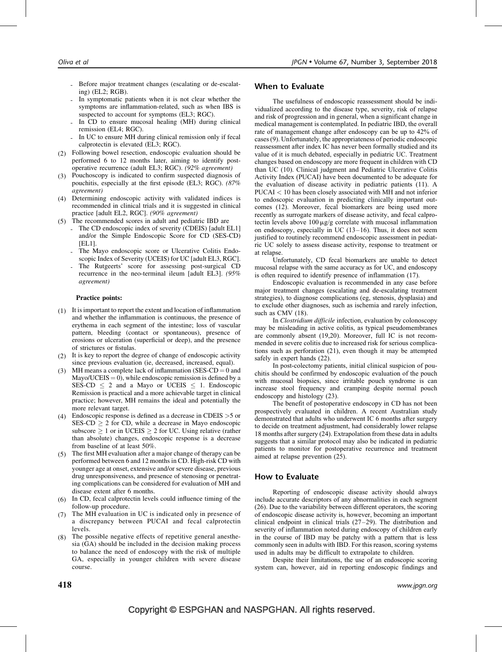- Before major treatment changes (escalating or de-escalating) (EL2; RGB).
- In symptomatic patients when it is not clear whether the symptoms are inflammation-related, such as when IBS is suspected to account for symptoms (EL3; RGC).
- In CD to ensure mucosal healing (MH) during clinical remission (EL4; RGC).
- In UC to ensure MH during clinical remission only if fecal calprotectin is elevated (EL3; RGC).
- (2) Following bowel resection, endoscopic evaluation should be performed 6 to 12 months later, aiming to identify postoperative recurrence (adult EL3; RGC). (92% agreement)
- (3) Pouchoscopy is indicated to confirm suspected diagnosis of pouchitis, especially at the first episode (EL3; RGC). (87% agreement)
- (4) Determining endoscopic activity with validated indices is recommended in clinical trials and it is suggested in clinical practice [adult EL2, RGC]. (90% agreement)
- (5) The recommended scores in adult and pediatric IBD are
	- The CD endoscopic index of severity (CDEIS) [adult EL1] and/or the Simple Endoscopic Score for CD (SES-CD) [EL1].
	- The Mayo endoscopic score or Ulcerative Colitis Endoscopic Index of Severity (UCEIS) for UC [adult EL3, RGC].
	- The Rutgeerts' score for assessing post-surgical CD recurrence in the neo-terminal ileum [adult EL3]. (95% agreement)

#### Practice points:

- (1) It is important to report the extent and location of inflammation and whether the inflammation is continuous, the presence of erythema in each segment of the intestine; loss of vascular pattern, bleeding (contact or spontaneous), presence of erosions or ulceration (superficial or deep), and the presence of strictures or fistulas.
- (2) It is key to report the degree of change of endoscopic activity since previous evaluation (ie, decreased, increased, equal).
- (3) MH means a complete lack of inflammation (SES-CD = 0 and Mayo/UCEIS =  $\dot{0}$ , while endoscopic remission is defined by a SES-CD  $\leq$  2 and a Mayo or UCEIS  $\leq$  1. Endoscopic Remission is practical and a more achievable target in clinical practice; however, MH remains the ideal and potentially the more relevant target.
- (4) Endoscopic response is defined as a decrease in CDEIS >5 or SES-CD  $\geq$  2 for CD, while a decrease in Mayo endoscopic subscore  $> 1$  or in UCEIS  $> 2$  for UC. Using relative (rather than absolute) changes, endoscopic response is a decrease from baseline of at least 50%.
- (5) The first MH evaluation after a major change of therapy can be performed between 6 and 12 months in CD. High-risk CD with younger age at onset, extensive and/or severe disease, previous drug unresponsiveness, and presence of stenosing or penetrating complications can be considered for evaluation of MH and disease extent after 6 months.
- (6) In CD, fecal calprotectin levels could influence timing of the follow-up procedure.
- (7) The MH evaluation in UC is indicated only in presence of a discrepancy between PUCAI and fecal calprotectin levels.
- (8) The possible negative effects of repetitive general anesthesia (GA) should be included in the decision making process to balance the need of endoscopy with the risk of multiple GA, especially in younger children with severe disease course.

## When to Evaluate

The usefulness of endoscopic reassessment should be individualized according to the disease type, severity, risk of relapse and risk of progression and in general, when a significant change in medical management is contemplated. In pediatric IBD, the overall rate of management change after endoscopy can be up to 42% of cases (9). Unfortunately, the appropriateness of periodic endoscopic reassessment after index IC has never been formally studied and its value of it is much debated, especially in pediatric UC. Treatment changes based on endoscopy are more frequent in children with CD than UC (10). Clinical judgment and Pediatric Ulcerative Colitis Activity Index (PUCAI) have been documented to be adequate for the evaluation of disease activity in pediatric patients (11). A PUCAI < 10 has been closely associated with MH and not inferior to endoscopic evaluation in predicting clinically important outcomes (12). Moreover, fecal biomarkers are being used more recently as surrogate markers of disease activity, and fecal calprotectin levels above  $100 \mu g/g$  correlate with mucosal inflammation on endoscopy, especially in UC (13–16). Thus, it does not seem justified to routinely recommend endoscopic assessment in pediatric UC solely to assess disease activity, response to treatment or at relapse.

Unfortunately, CD fecal biomarkers are unable to detect mucosal relapse with the same accuracy as for UC, and endoscopy is often required to identify presence of inflammation (17).

Endoscopic evaluation is recommended in any case before major treatment changes (escalating and de-escalating treatment strategies), to diagnose complications (eg, stenosis, dysplasia) and to exclude other diagnoses, such as ischemia and rarely infection, such as CMV (18).

In Clostridium difficile infection, evaluation by colonoscopy may be misleading in active colitis, as typical pseudomembranes are commonly absent (19,20). Moreover, full IC is not recommended in severe colitis due to increased risk for serious complications such as perforation (21), even though it may be attempted safely in expert hands (22).

In post-colectomy patients, initial clinical suspicion of pouchitis should be confirmed by endoscopic evaluation of the pouch with mucosal biopsies, since irritable pouch syndrome is can increase stool frequency and cramping despite normal pouch endoscopy and histology (23).

The benefit of postoperative endoscopy in CD has not been prospectively evaluated in children. A recent Australian study demonstrated that adults who underwent IC 6 months after surgery to decide on treatment adjustment, had considerably lower relapse 18 months after surgery (24). Extrapolation from these data in adults suggests that a similar protocol may also be indicated in pediatric patients to monitor for postoperative recurrence and treatment aimed at relapse prevention (25).

## How to Evaluate

Reporting of endoscopic disease activity should always include accurate descriptors of any abnormalities in each segment (26). Due to the variability between different operators, the scoring of endoscopic disease activity is, however, becoming an important clinical endpoint in clinical trials (27–29). The distribution and severity of inflammation noted during endoscopy of children early in the course of IBD may be patchy with a pattern that is less commonly seen in adults with IBD. For this reason, scoring systems used in adults may be difficult to extrapolate to children.

Despite their limitations, the use of an endoscopic scoring system can, however, aid in reporting endoscopic findings and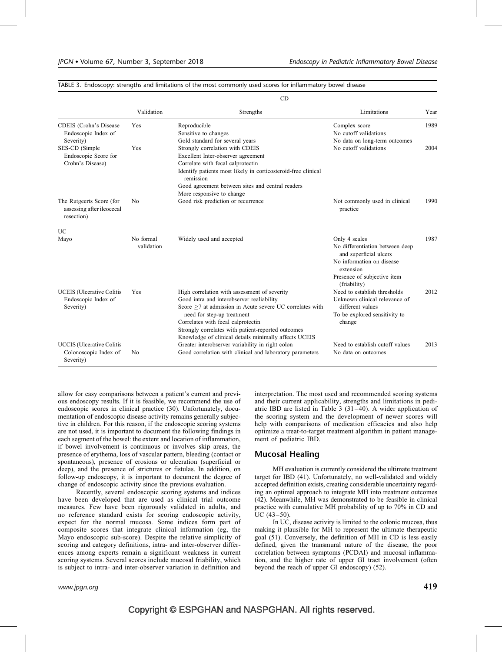|                                                                        | CD                      |                                                                                                                                                                                                                                                                                                                                          |                                                                                                                                                                     |      |  |
|------------------------------------------------------------------------|-------------------------|------------------------------------------------------------------------------------------------------------------------------------------------------------------------------------------------------------------------------------------------------------------------------------------------------------------------------------------|---------------------------------------------------------------------------------------------------------------------------------------------------------------------|------|--|
|                                                                        | Validation              | Strengths                                                                                                                                                                                                                                                                                                                                | Limitations                                                                                                                                                         | Year |  |
| CDEIS (Crohn's Disease<br>Endoscopic Index of<br>Severity)             | <b>Yes</b>              | Reproducible<br>Sensitive to changes<br>Gold standard for several years                                                                                                                                                                                                                                                                  | Complex score<br>No cutoff validations<br>No data on long-term outcomes                                                                                             | 1989 |  |
| SES-CD (Simple<br>Endoscopic Score for<br>Crohn's Disease)             | Yes                     | Strongly correlation with CDEIS<br>Excellent Inter-observer agreement<br>Correlate with fecal calprotectin<br>Identify patients most likely in corticosteroid-free clinical<br>remission<br>Good agreement between sites and central readers<br>More responsive to change                                                                | No cutoff validations                                                                                                                                               | 2004 |  |
| The Rutgeerts Score (for<br>assessing after ileocecal<br>resection)    | N <sub>0</sub>          | Good risk prediction or recurrence                                                                                                                                                                                                                                                                                                       | Not commonly used in clinical<br>practice                                                                                                                           | 1990 |  |
| <b>UC</b>                                                              |                         |                                                                                                                                                                                                                                                                                                                                          |                                                                                                                                                                     |      |  |
| Mayo                                                                   | No formal<br>validation | Widely used and accepted                                                                                                                                                                                                                                                                                                                 | Only 4 scales<br>No differentiation between deep<br>and superficial ulcers<br>No information on disease<br>extension<br>Presence of subjective item<br>(friability) | 1987 |  |
| <b>UCEIS</b> (Ulcerative Colitis<br>Endoscopic Index of<br>Severity)   | Yes                     | High correlation with assessment of severity<br>Good intra and interobserver realiability<br>Score >7 at admission in Acute severe UC correlates with<br>need for step-up treatment<br>Correlates with fecal calprotectin<br>Strongly correlates with patient-reported outcomes<br>Knowledge of clinical details minimally affects UCEIS | Need to establish thresholds<br>Unknown clinical relevance of<br>different values<br>To be explored sensitivity to<br>change                                        | 2012 |  |
| <b>UCCIS</b> (Ulcerative Colitis<br>Colonoscopic Index of<br>Severity) | N <sub>0</sub>          | Greater interobserver variability in right colon<br>Good correlation with clinical and laboratory parameters                                                                                                                                                                                                                             | Need to establish cutoff values<br>No data on outcomes                                                                                                              | 2013 |  |

TABLE 3. Endoscopy: strengths and limitations of the most commonly used scores for inflammatory bowel disease

allow for easy comparisons between a patient's current and previous endoscopy results. If it is feasible, we recommend the use of endoscopic scores in clinical practice (30). Unfortunately, documentation of endoscopic disease activity remains generally subjective in children. For this reason, if the endoscopic scoring systems are not used, it is important to document the following findings in each segment of the bowel: the extent and location of inflammation, if bowel involvement is continuous or involves skip areas, the presence of erythema, loss of vascular pattern, bleeding (contact or spontaneous), presence of erosions or ulceration (superficial or deep), and the presence of strictures or fistulas. In addition, on follow-up endoscopy, it is important to document the degree of change of endoscopic activity since the previous evaluation.

Recently, several endoscopic scoring systems and indices have been developed that are used as clinical trial outcome measures. Few have been rigorously validated in adults, and no reference standard exists for scoring endoscopic activity, expect for the normal mucosa. Some indices form part of composite scores that integrate clinical information (eg, the Mayo endoscopic sub-score). Despite the relative simplicity of scoring and category definitions, intra- and inter-observer differences among experts remain a significant weakness in current scoring systems. Several scores include mucosal friability, which is subject to intra- and inter-observer variation in definition and

interpretation. The most used and recommended scoring systems and their current applicability, strengths and limitations in pediatric IBD are listed in Table 3 (31–40). A wider application of the scoring system and the development of newer scores will help with comparisons of medication efficacies and also help optimize a treat-to-target treatment algorithm in patient management of pediatric IBD.

#### Mucosal Healing

MH evaluation is currently considered the ultimate treatment target for IBD (41). Unfortunately, no well-validated and widely accepted definition exists, creating considerable uncertainty regarding an optimal approach to integrate MH into treatment outcomes (42). Meanwhile, MH was demonstrated to be feasible in clinical practice with cumulative MH probability of up to 70% in CD and  $UC$  (43–50).

In UC, disease activity is limited to the colonic mucosa, thus making it plausible for MH to represent the ultimate therapeutic goal (51). Conversely, the definition of MH in CD is less easily defined, given the transmural nature of the disease, the poor correlation between symptoms (PCDAI) and mucosal inflammation, and the higher rate of upper GI tract involvement (often beyond the reach of upper GI endoscopy) (52).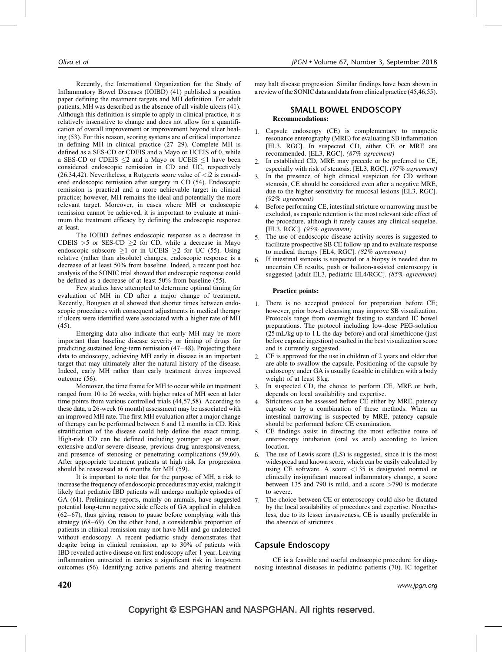Recently, the International Organization for the Study of Inflammatory Bowel Diseases (IOIBD) (41) published a position paper defining the treatment targets and MH definition. For adult patients, MH was described as the absence of all visible ulcers (41). Although this definition is simple to apply in clinical practice, it is relatively insensitive to change and does not allow for a quantification of overall improvement or improvement beyond ulcer healing (53). For this reason, scoring systems are of critical importance in defining MH in clinical practice (27–29). Complete MH is defined as a SES-CD or CDEIS and a Mayo or UCEIS of 0, while a SES-CD or CDEIS  $\leq$ 2 and a Mayo or UCEIS  $\leq$ 1 have been considered endoscopic remission in CD and UC, respectively  $(26,34,42)$ . Nevertheless, a Rutgeerts score value of  $\langle 26, 34, 42 \rangle$ . ered endoscopic remission after surgery in CD (54). Endoscopic remission is practical and a more achievable target in clinical practice; however, MH remains the ideal and potentially the more relevant target. Moreover, in cases where MH or endoscopic remission cannot be achieved, it is important to evaluate at minimum the treatment efficacy by defining the endoscopic response at least.

The IOIBD defines endoscopic response as a decrease in CDEIS >5 or SES-CD  $\geq$ 2 for CD, while a decrease in Mayo endoscopic subscore  $>1$  or in UCEIS  $>2$  for UC (55). Using relative (rather than absolute) changes, endoscopic response is a decrease of at least 50% from baseline. Indeed, a recent post hoc analysis of the SONIC trial showed that endoscopic response could be defined as a decrease of at least 50% from baseline (55).

Few studies have attempted to determine optimal timing for evaluation of MH in CD after a major change of treatment. Recently, Bouguen et al showed that shorter times between endoscopic procedures with consequent adjustments in medical therapy if ulcers were identified were associated with a higher rate of MH (45).

Emerging data also indicate that early MH may be more important than baseline disease severity or timing of drugs for predicting sustained long-term remission (47–48). Projecting these data to endoscopy, achieving MH early in disease is an important target that may ultimately alter the natural history of the disease. Indeed, early MH rather than early treatment drives improved outcome (56).

Moreover, the time frame for MH to occur while on treatment ranged from 10 to 26 weeks, with higher rates of MH seen at later time points from various controlled trials (44,57,58). According to these data, a 26-week (6 month) assessment may be associated with an improved MH rate. The first MH evaluation after a major change of therapy can be performed between 6 and 12 months in CD. Risk stratification of the disease could help define the exact timing. High-risk CD can be defined including younger age at onset, extensive and/or severe disease, previous drug unresponsiveness, and presence of stenosing or penetrating complications (59,60). After appropriate treatment patients at high risk for progression should be reassessed at 6 months for MH (59).

It is important to note that for the purpose of MH, a risk to increase the frequency of endoscopic procedures may exist, making it likely that pediatric IBD patients will undergo multiple episodes of GA (61). Preliminary reports, mainly on animals, have suggested potential long-term negative side effects of GA applied in children (62–67), thus giving reason to pause before complying with this strategy (68–69). On the other hand, a considerable proportion of patients in clinical remission may not have MH and go undetected without endoscopy. A recent pediatric study demonstrates that despite being in clinical remission, up to 30% of patients with IBD revealed active disease on first endoscopy after 1 year. Leaving inflammation untreated in carries a significant risk in long-term outcomes (56). Identifying active patients and altering treatment

may halt disease progression. Similar findings have been shown in a review of the SONIC data and data from clinical practice (45,46,55).

#### SMALL BOWEL ENDOSCOPY Recommendations:

- 1. Capsule endoscopy (CE) is complementary to magnetic resonance enterography (MRE) for evaluating SB inflammation [EL3, RGC]. In suspected CD, either CE or MRE are recommended. [EL3, RGC]. (87% agreement)
- 2. In established CD, MRE may precede or be preferred to CE, especially with risk of stenosis. [EL3, RGC]. (97% agreement)
- 3. In the presence of high clinical suspicion for CD without stenosis, CE should be considered even after a negative MRE, due to the higher sensitivity for mucosal lesions [EL3, RGC]. (92% agreement)
- 4. Before performing CE, intestinal stricture or narrowing must be excluded, as capsule retention is the most relevant side effect of the procedure, although it rarely causes any clinical sequelae. [EL3, RGC]. (95% agreement)
- 5. The use of endoscopic disease activity scores is suggested to facilitate prospective SB CE follow-up and to evaluate response to medical therapy [EL4, RGC]. (82% agreement)
- 6. If intestinal stenosis is suspected or a biopsy is needed due to uncertain CE results, push or balloon-assisted enteroscopy is suggested [adult EL3, pediatric EL4/RGC]. (85% agreement)

#### Practice points:

- 1. There is no accepted protocol for preparation before CE; however, prior bowel cleansing may improve SB visualization. Protocols range from overnight fasting to standard IC bowel preparations. The protocol including low-dose PEG-solution  $(25 \text{ mL/kg}$  up to 1 L the day before) and oral simethicone (just before capsule ingestion) resulted in the best visualization score and is currently suggested.
- 2. CE is approved for the use in children of 2 years and older that are able to swallow the capsule. Positioning of the capsule by endoscopy under GA is usually feasible in children with a body weight of at least 8 kg.
- 3. In suspected CD, the choice to perform CE, MRE or both, depends on local availability and expertise.
- 4. Strictures can be assessed before CE either by MRE, patency capsule or by a combination of these methods. When an intestinal narrowing is suspected by MRE, patency capsule should be performed before CE examination.
- 5. CE findings assist in directing the most effective route of enteroscopy intubation (oral vs anal) according to lesion location.
- 6. The use of Lewis score (LS) is suggested, since it is the most widespread and known score, which can be easily calculated by using CE software. A score  $\langle 135 \rangle$  is designated normal or clinically insignificant mucosal inflammatory change, a score between 135 and 790 is mild, and a score >790 is moderate to severe.
- 7. The choice between CE or enteroscopy could also be dictated by the local availability of procedures and expertise. Nonetheless, due to its lesser invasiveness, CE is usually preferable in the absence of strictures.

# Capsule Endoscopy

CE is a feasible and useful endoscopic procedure for diagnosing intestinal diseases in pediatric patients (70). IC together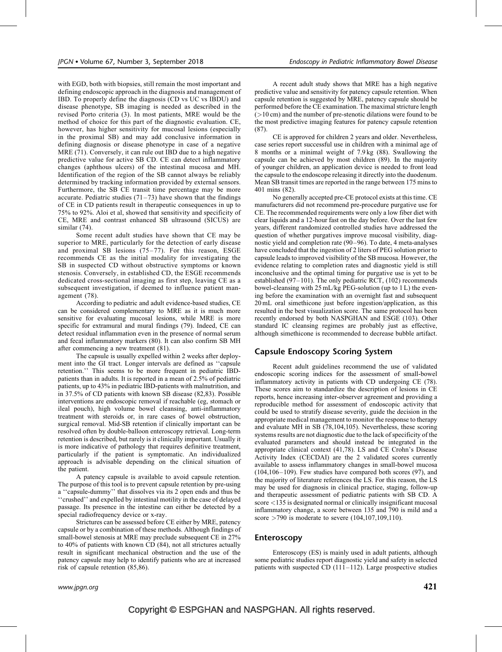with EGD, both with biopsies, still remain the most important and defining endoscopic approach in the diagnosis and management of IBD. To properly define the diagnosis (CD vs UC vs IBDU) and disease phenotype, SB imaging is needed as described in the revised Porto criteria (3). In most patients, MRE would be the method of choice for this part of the diagnostic evaluation. CE, however, has higher sensitivity for mucosal lesions (especially in the proximal SB) and may add conclusive information in defining diagnosis or disease phenotype in case of a negative MRE (71). Conversely, it can rule out IBD due to a high negative predictive value for active SB CD. CE can detect inflammatory changes (aphthous ulcers) of the intestinal mucosa and MH. Identification of the region of the SB cannot always be reliably determined by tracking information provided by external sensors. Furthermore, the SB CE transit time percentage may be more accurate. Pediatric studies  $(71–73)$  have shown that the findings of CE in CD patients result in therapeutic consequences in up to 75% to 92%. Aloi et al, showed that sensitivity and specificity of CE, MRE and contrast enhanced SB ultrasound (SICUS) are similar (74).

Some recent adult studies have shown that CE may be superior to MRE, particularly for the detection of early disease and proximal SB lesions (75–77). For this reason, ESGE recommends CE as the initial modality for investigating the SB in suspected CD without obstructive symptoms or known stenosis. Conversely, in established CD, the ESGE recommends dedicated cross-sectional imaging as first step, leaving CE as a subsequent investigation, if deemed to influence patient management (78).

According to pediatric and adult evidence-based studies, CE can be considered complementary to MRE as it is much more sensitive for evaluating mucosal lesions, while MRE is more specific for extramural and mural findings (79). Indeed, CE can detect residual inflammation even in the presence of normal serum and fecal inflammatory markers (80). It can also confirm SB MH after commencing a new treatment (81).

The capsule is usually expelled within 2 weeks after deployment into the GI tract. Longer intervals are defined as ''capsule retention.'' This seems to be more frequent in pediatric IBDpatients than in adults. It is reported in a mean of 2.5% of pediatric patients, up to 43% in pediatric IBD-patients with malnutrition, and in 37.5% of CD patients with known SB disease (82,83). Possible interventions are endoscopic removal if reachable (eg, stomach or ileal pouch), high volume bowel cleansing, anti-inflammatory treatment with steroids or, in rare cases of bowel obstruction, surgical removal. Mid-SB retention if clinically important can be resolved often by double-balloon enteroscopy retrieval. Long-term retention is described, but rarely is it clinically important. Usually it is more indicative of pathology that requires definitive treatment, particularly if the patient is symptomatic. An individualized approach is advisable depending on the clinical situation of the patient.

A patency capsule is available to avoid capsule retention. The purpose of this tool is to prevent capsule retention by pre-using a ''capsule-dummy'' that dissolves via its 2 open ends and thus be ''crushed'' and expelled by intestinal motility in the case of delayed passage. Its presence in the intestine can either be detected by a special radiofrequency device or x-ray.

Strictures can be assessed before CE either by MRE, patency capsule or by a combination of these methods. Although findings of small-bowel stenosis at MRE may preclude subsequent CE in 27% to 40% of patients with known CD (84), not all strictures actually result in significant mechanical obstruction and the use of the patency capsule may help to identify patients who are at increased risk of capsule retention (85,86).

A recent adult study shows that MRE has a high negative predictive value and sensitivity for patency capsule retention. When capsule retention is suggested by MRE, patency capsule should be performed before the CE examination. The maximal stricture length  $(>10 \text{ cm})$  and the number of pre-stenotic dilations were found to be the most predictive imaging features for patency capsule retention (87).

CE is approved for children 2 years and older. Nevertheless, case series report successful use in children with a minimal age of 8 months or a minimal weight of 7.9 kg (88). Swallowing the capsule can be achieved by most children (89). In the majority of younger children, an application device is needed to front load the capsule to the endoscope releasing it directly into the duodenum. Mean SB transit times are reported in the range between 175 mins to 401 mins (82).

No generally accepted pre-CE protocol exists at this time. CE manufacturers did not recommend pre-procedure purgative use for CE. The recommended requirements were only a low fiber diet with clear liquids and a 12-hour fast on the day before. Over the last few years, different randomized controlled studies have addressed the question of whether purgatives improve mucosal visibility, diagnostic yield and completion rate (90–96). To date, 4 meta-analyses have concluded that the ingestion of 2 liters of PEG solution prior to capsule leads to improved visibility of the SB mucosa. However, the evidence relating to completion rates and diagnostic yield is still inconclusive and the optimal timing for purgative use is yet to be established (97–101). The only pediatric RCT, (102) recommends bowel-cleansing with 25 mL/kg PEG-solution (up to 1 L) the evening before the examination with an overnight fast and subsequent 20 mL oral simethicone just before ingestion/application, as this resulted in the best visualization score. The same protocol has been recently endorsed by both NASPGHAN and ESGE (103). Other standard IC cleansing regimes are probably just as effective, although simethicone is recommended to decrease bubble artifact.

## Capsule Endoscopy Scoring System

Recent adult guidelines recommend the use of validated endoscopic scoring indices for the assessment of small-bowel inflammatory activity in patients with CD undergoing CE (78). These scores aim to standardize the description of lesions in CE reports, hence increasing inter-observer agreement and providing a reproducible method for assessment of endoscopic activity that could be used to stratify disease severity, guide the decision in the appropriate medical management to monitor the response to therapy and evaluate MH in SB (78,104,105). Nevertheless, these scoring systems results are not diagnostic due to the lack of specificity of the evaluated parameters and should instead be integrated in the appropriate clinical context (41,78). LS and CE Crohn's Disease Activity Index (CECDAI) are the 2 validated scores currently available to assess inflammatory changes in small-bowel mucosa (104,106–109). Few studies have compared both scores (97), and the majority of literature references the LS. For this reason, the LS may be used for diagnosis in clinical practice, staging, follow-up and therapeutic assessment of pediatric patients with SB CD. A score <135 is designated normal or clinically insignificant mucosal inflammatory change, a score between 135 and 790 is mild and a score  $>790$  is moderate to severe (104,107,109,110).

## Enteroscopy

Enteroscopy (ES) is mainly used in adult patients, although some pediatric studies report diagnostic yield and safety in selected patients with suspected CD (111–112). Large prospective studies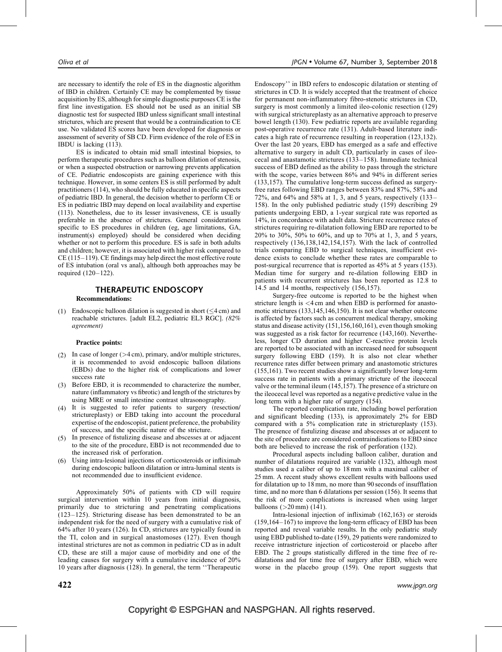are necessary to identify the role of ES in the diagnostic algorithm of IBD in children. Certainly CE may be complemented by tissue acquisition by ES, although for simple diagnostic purposes CE is the first line investigation. ES should not be used as an initial SB diagnostic test for suspected IBD unless significant small intestinal strictures, which are present that would be a contraindication to CE use. No validated ES scores have been developed for diagnosis or assessment of severity of SB CD. Firm evidence of the role of ES in IBDU is lacking (113).

ES is indicated to obtain mid small intestinal biopsies, to perform therapeutic procedures such as balloon dilation of stenosis, or when a suspected obstruction or narrowing prevents application of CE. Pediatric endoscopists are gaining experience with this technique. However, in some centers ES is still performed by adult practitioners (114), who should be fully educated in specific aspects of pediatric IBD. In general, the decision whether to perform CE or ES in pediatric IBD may depend on local availability and expertise (113). Nonetheless, due to its lesser invasiveness, CE is usually preferable in the absence of strictures. General considerations specific to ES procedures in children (eg, age limitations, GA, instrument(s) employed) should be considered when deciding whether or not to perform this procedure. ES is safe in both adults and children; however, it is associated with higher risk compared to CE (115–119). CE findings may help direct the most effective route of ES intubation (oral vs anal), although both approaches may be required (120–122).

# THERAPEUTIC ENDOSCOPY

## Recommendations:

(1) Endoscopic balloon dilation is suggested in short  $(\leq 4 \text{ cm})$  and reachable strictures. [adult EL2, pediatric EL3 RGC]. (82% agreement)

#### Practice points:

- (2) In case of longer  $(>4 \text{ cm})$ , primary, and/or multiple strictures, it is recommended to avoid endoscopic balloon dilations (EBDs) due to the higher risk of complications and lower success rate
- (3) Before EBD, it is recommended to characterize the number, nature (inflammatory vs fibrotic) and length of the strictures by using MRE or small intestine contrast ultrasonography.
- (4) It is suggested to refer patients to surgery (resection/ strictureplasty) or EBD taking into account the procedural expertise of the endoscopist, patient preference, the probability of success, and the specific nature of the stricture.
- (5) In presence of fistulizing disease and abscesses at or adjacent to the site of the procedure, EBD is not recommended due to the increased risk of perforation.
- (6) Using intra-lesional injections of corticosteroids or infliximab during endoscopic balloon dilatation or intra-luminal stents is not recommended due to insufficient evidence.

Approximately 50% of patients with CD will require surgical intervention within 10 years from initial diagnosis, primarily due to stricturing and penetrating complications (123–125). Stricturing disease has been demonstrated to be an independent risk for the need of surgery with a cumulative risk of 64% after 10 years (126). In CD, strictures are typically found in the TI, colon and in surgical anastomoses (127). Even though intestinal strictures are not as common in pediatric CD as in adult CD, these are still a major cause of morbidity and one of the leading causes for surgery with a cumulative incidence of 20% 10 years after diagnosis (128). In general, the term ''Therapeutic Endoscopy'' in IBD refers to endoscopic dilatation or stenting of strictures in CD. It is widely accepted that the treatment of choice for permanent non-inflammatory fibro-stenotic strictures in CD, surgery is most commonly a limited ileo-colonic resection (129) with surgical strictureplasty as an alternative approach to preserve bowel length (130). Few pediatric reports are available regarding post-operative recurrence rate (131). Adult-based literature indicates a high rate of recurrence resulting in reoperation (123,132). Over the last 20 years, EBD has emerged as a safe and effective alternative to surgery in adult CD, particularly in cases of ileocecal and anastamotic strictures (133–158). Immediate technical success of EBD defined as the ability to pass through the stricture with the scope, varies between 86% and 94% in different series (133,157). The cumulative long-term success defined as surgeryfree rates following EBD ranges between 83% and 87%, 58% and 72%, and 64% and 58% at 1, 3, and 5 years, respectively (133– 158). In the only published pediatric study (159) describing 29 patients undergoing EBD, a 1-year surgical rate was reported as 14%, in concordance with adult data. Stricture recurrence rates of strictures requiring re-dilatation following EBD are reported to be 20% to 30%, 50% to 60%, and up to 70% at 1, 3, and 5 years, respectively (136,138,142,154,157). With the lack of controlled trials comparing EBD to surgical techniques, insufficient evidence exists to conclude whether these rates are comparable to post-surgical recurrence that is reported as 45% at 5 years (153). Median time for surgery and re-dilation following EBD in patients with recurrent strictures has been reported as 12.8 to 14.5 and 14 months, respectively (156,157).

Surgery-free outcome is reported to be the highest when stricture length is <4 cm and when EBD is performed for anastomotic strictures (133,145,146,150). It is not clear whether outcome is affected by factors such as concurrent medical therapy, smoking status and disease activity (151,156,160,161), even though smoking was suggested as a risk factor for recurrence (143,160). Nevertheless, longer CD duration and higher C-reactive protein levels are reported to be associated with an increased need for subsequent surgery following EBD (159). It is also not clear whether recurrence rates differ between primary and anastomotic strictures (155,161). Two recent studies show a significantly lower long-term success rate in patients with a primary stricture of the ileocecal valve or the terminal ileum (145,157). The presence of a stricture on the ileocecal level was reported as a negative predictive value in the long term with a higher rate of surgery (154).

The reported complication rate, including bowel perforation and significant bleeding (133), is approximately 2% for EBD compared with a 5% complication rate in strictureplasty (153). The presence of fistulizing disease and abscesses at or adjacent to the site of procedure are considered contraindications to EBD since both are believed to increase the risk of perforation (132).

Procedural aspects including balloon caliber, duration and number of dilatations required are variable (132), although most studies used a caliber of up to 18 mm with a maximal caliber of 25 mm. A recent study shows excellent results with balloons used for dilatation up to 18 mm, no more than 90 seconds of insufflation time, and no more than 6 dilatations per session (156). It seems that the risk of more complications is increased when using larger balloons  $(>20$  mm)  $(141)$ .

Intra-lesional injection of infliximab (162,163) or steroids (159,164–167) to improve the long-term efficacy of EBD has been reported and reveal variable results. In the only pediatric study using EBD published to-date (159), 29 patients were randomized to receive intrastricture injection of corticosteroid or placebo after EBD. The 2 groups statistically differed in the time free of redilatations and for time free of surgery after EBD, which were worse in the placebo group (159). One report suggests that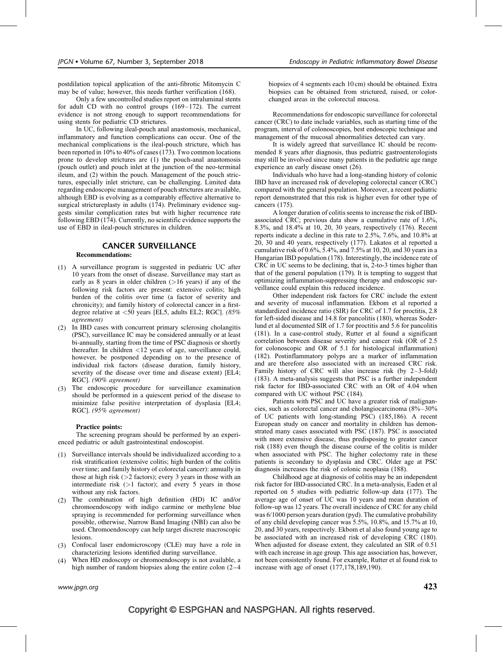postdilation topical application of the anti-fibrotic Mitomycin C may be of value; however, this needs further verification (168).

Only a few uncontrolled studies report on intraluminal stents for adult CD with no control groups (169–172). The current evidence is not strong enough to support recommendations for using stents for pediatric CD strictures.

In UC, following ileal-pouch anal anastomosis, mechanical, inflammatory and function complications can occur. One of the mechanical complications is the ileal-pouch stricture, which has been reported in 10% to 40% of cases (173). Two common locations prone to develop strictures are (1) the pouch-anal anastomosis (pouch outlet) and pouch inlet at the junction of the neo-terminal ileum, and (2) within the pouch. Management of the pouch strictures, especially inlet stricture, can be challenging. Limited data regarding endoscopic management of pouch strictures are available, although EBD is evolving as a comparably effective alternative to surgical strictureplasty in adults (174). Preliminary evidence suggests similar complication rates but with higher recurrence rate following EBD (174). Currently, no scientific evidence supports the use of EBD in ileal-pouch strictures in children.

#### CANCER SURVEILLANCE

#### Recommendations:

- (1) A surveillance program is suggested in pediatric UC after 10 years from the onset of disease. Surveillance may start as early as 8 years in older children  $(>16$  years) if any of the following risk factors are present: extensive colitis; high burden of the colitis over time (a factor of severity and chronicity); and family history of colorectal cancer in a firstdegree relative at <50 years [EL5, adults EL2; RGC]. (85% agreement)
- (2) In IBD cases with concurrent primary sclerosing cholangitis (PSC), surveillance IC may be considered annually or at least bi-annually, starting from the time of PSC diagnosis or shortly thereafter. In children <12 years of age, surveillance could, however, be postponed depending on to the presence of individual risk factors (disease duration, family history, severity of the disease over time and disease extent) [EL4; RGC]. (90% agreement)
- (3) The endoscopic procedure for surveillance examination should be performed in a quiescent period of the disease to minimize false positive interpretation of dysplasia [EL4; RGC]. (95% agreement)

#### Practice points:

The screening program should be performed by an experienced pediatric or adult gastrointestinal endoscopist.

- (1) Surveillance intervals should be individualized according to a risk stratification (extensive colitis; high burden of the colitis over time; and family history of colorectal cancer): annually in those at high risk  $(>2$  factors); every 3 years in those with an intermediate risk  $(>1$  factor); and every 5 years in those without any risk factors.
- (2) The combination of high definition (HD) IC and/or chromoendoscopy with indigo carmine or methylene blue spraying is recommended for performing surveillance when possible, otherwise, Narrow Band Imaging (NBI) can also be used. Chromoendoscopy can help target discrete macroscopic lesions.
- (3) Confocal laser endomicroscopy (CLE) may have a role in characterizing lesions identified during surveillance.
- When HD endoscopy or chromoendoscopy is not available, a high number of random biopsies along the entire colon  $(2-4)$

biopsies of 4 segments each 10 cm) should be obtained. Extra biopsies can be obtained from strictured, raised, or colorchanged areas in the colorectal mucosa.

Recommendations for endoscopic surveillance for colorectal cancer (CRC) to date include variables, such as starting time of the program, interval of colonoscopies, best endoscopic technique and management of the mucosal abnormalities detected can vary.

It is widely agreed that surveillance IC should be recommended 8 years after diagnosis, thus pediatric gastroenterologists may still be involved since many patients in the pediatric age range experience an early disease onset (26).

Individuals who have had a long-standing history of colonic IBD have an increased risk of developing colorectal cancer (CRC) compared with the general population. Moreover, a recent pediatric report demonstrated that this risk is higher even for other type of cancers (175).

A longer duration of colitis seems to increase the risk of IBDassociated CRC; previous data show a cumulative rate of 1.6%, 8.3%, and 18.4% at 10, 20, 30 years, respectively (176). Recent reports indicate a decline in this rate to 2.5%, 7.6%, and 10.8% at 20, 30 and 40 years, respectively (177). Lakatos et al reported a cumulative risk of 0.6%, 5.4%, and 7.5% at 10, 20, and 30 years in a Hungarian IBD population (178). Interestingly, the incidence rate of CRC in UC seems to be declining, that is, 2-to-3 times higher than that of the general population (179). It is tempting to suggest that optimizing inflammation-suppressing therapy and endoscopic surveillance could explain this reduced incidence.

Other independent risk factors for CRC include the extent and severity of mucosal inflammation. Ekbom et al reported a standardized incidence ratio (SIR) for CRC of 1.7 for proctitis, 2.8 for left-sided disease and 14.8 for pancolitis (180), whereas Soderlund et al documented SIR of 1.7 for proctitis and 5.6 for pancolitis (181). In a case-control study, Rutter et al found a significant correlation between disease severity and cancer risk (OR of 2.5 for colonoscopic and OR of 5.1 for histological inflammation) (182). Postinflammatory polyps are a marker of inflammation and are therefore also associated with an increased CRC risk. Family history of CRC will also increase risk (by 2–3-fold) (183). A meta-analysis suggests that PSC is a further independent risk factor for IBD-associated CRC with an OR of 4.04 when compared with UC without PSC (184).

Patients with PSC and UC have a greater risk of malignancies, such as colorectal cancer and cholangiocarcinoma (8%–30% of UC patients with long-standing PSC) (185,186). A recent European study on cancer and mortality in children has demonstrated many cases associated with PSC (187). PSC is associated with more extensive disease, thus predisposing to greater cancer risk (188) even though the disease course of the colitis is milder when associated with PSC. The higher colectomy rate in these patients is secondary to dysplasia and CRC. Older age at PSC diagnosis increases the risk of colonic neoplasia (188).

Childhood age at diagnosis of colitis may be an independent risk factor for IBD-associated CRC. In a meta-analysis, Eaden et al reported on 5 studies with pediatric follow-up data (177). The average age of onset of UC was 10 years and mean duration of follow-up was 12 years. The overall incidence of CRC for any child was 6/1000 person years duration (pyd). The cumulative probability of any child developing cancer was 5.5%, 10.8%, and 15.7% at 10, 20, and 30 years, respectively. Ekbom et al also found young age to be associated with an increased risk of developing CRC (180). When adjusted for disease extent, they calculated an SIR of 0.51 with each increase in age group. This age association has, however, not been consistently found. For example, Rutter et al found risk to increase with age of onset (177,178,189,190).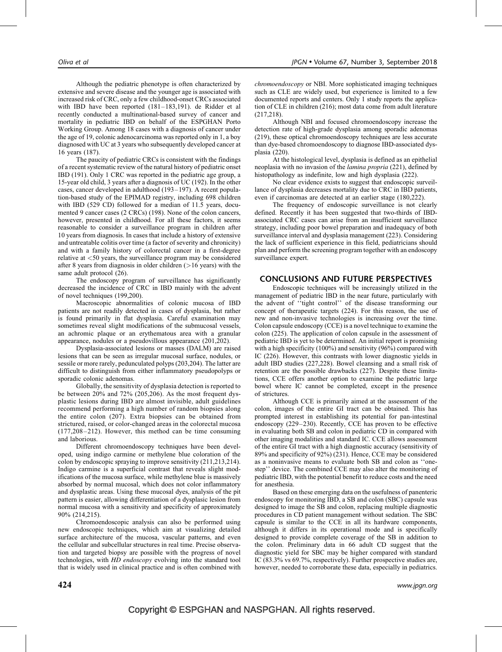Although the pediatric phenotype is often characterized by extensive and severe disease and the younger age is associated with increased risk of CRC, only a few childhood-onset CRCs associated with IBD have been reported (181–183,191). de Ridder et al recently conducted a multinational-based survey of cancer and mortality in pediatric IBD on behalf of the ESPGHAN Porto Working Group. Among 18 cases with a diagnosis of cancer under the age of 19, colonic adenocarcinoma was reported only in 1, a boy diagnosed with UC at 3 years who subsequently developed cancer at 16 years (187).

The paucity of pediatric CRCs is consistent with the findings of a recent systematic review of the natural history of pediatric onset IBD (191). Only 1 CRC was reported in the pediatric age group, a 15-year old child, 3 years after a diagnosis of UC (192). In the other cases, cancer developed in adulthood (193–197). A recent population-based study of the EPIMAD registry, including 698 children with IBD (529 CD) followed for a median of 11.5 years, documented 9 cancer cases (2 CRCs) (198). None of the colon cancers, however, presented in childhood. For all these factors, it seems reasonable to consider a surveillance program in children after 10 years from diagnosis. In cases that include a history of extensive and untreatable colitis over time (a factor of severity and chronicity) and with a family history of colorectal cancer in a first-degree relative at <50 years, the surveillance program may be considered after 8 years from diagnosis in older children  $($ >16 years) with the same adult protocol (26).

The endoscopy program of surveillance has significantly decreased the incidence of CRC in IBD mainly with the advent of novel techniques (199,200).

Macroscopic abnormalities of colonic mucosa of IBD patients are not readily detected in cases of dysplasia, but rather is found primarily in flat dysplasia. Careful examination may sometimes reveal slight modifications of the submucosal vessels, an achromic plaque or an erythematous area with a granular appearance, nodules or a pseudovillous appearance (201,202).

Dysplasia-associated lesions or masses (DALM) are raised lesions that can be seen as irregular mucosal surface, nodules, or sessile or more rarely, pedunculated polyps (203,204). The latter are difficult to distinguish from either inflammatory pseudopolyps or sporadic colonic adenomas.

Globally, the sensitivity of dysplasia detection is reported to be between 20% and 72% (205,206). As the most frequent dysplastic lesions during IBD are almost invisible, adult guidelines recommend performing a high number of random biopsies along the entire colon (207). Extra biopsies can be obtained from strictured, raised, or color-changed areas in the colorectal mucosa (177,208–212). However, this method can be time consuming and laborious.

Different chromoendoscopy techniques have been developed, using indigo carmine or methylene blue coloration of the colon by endoscopic spraying to improve sensitivity (211,213,214). Indigo carmine is a superficial contrast that reveals slight modifications of the mucosa surface, while methylene blue is massively absorbed by normal mucosal, which does not color inflammatory and dysplastic areas. Using these mucosal dyes, analysis of the pit pattern is easier, allowing differentiation of a dysplasic lesion from normal mucosa with a sensitivity and specificity of approximately 90% (214,215).

Chromoendoscopic analysis can also be performed using new endoscopic techniques, which aim at visualizing detailed surface architecture of the mucosa, vascular patterns, and even the cellular and subcellular structures in real time. Precise observation and targeted biopsy are possible with the progress of novel technologies, with HD endoscopy evolving into the standard tool that is widely used in clinical practice and is often combined with chromoendoscopy or NBI. More sophisticated imaging techniques such as CLE are widely used, but experience is limited to a few documented reports and centers. Only 1 study reports the application of CLE in children (216); most data come from adult literature (217,218).

Although NBI and focused chromoendoscopy increase the detection rate of high-grade dysplasia among sporadic adenomas (219), these optical chromoendoscopy techniques are less accurate than dye-based chromoendoscopy to diagnose IBD-associated dysplasia (220).

At the histological level, dysplasia is defined as an epithelial neoplasia with no invasion of the lamina propria (221), defined by histopathology as indefinite, low and high dysplasia (222).

No clear evidence exists to suggest that endoscopic surveillance of dysplasia decreases mortality due to CRC in IBD patients, even if carcinomas are detected at an earlier stage (180,222).

The frequency of endoscopic surveillance is not clearly defined. Recently it has been suggested that two-thirds of IBDassociated CRC cases can arise from an insufficient surveillance strategy, including poor bowel preparation and inadequacy of both surveillance interval and dysplasia management (223). Considering the lack of sufficient experience in this field, pediatricians should plan and perform the screening program together with an endoscopy surveillance expert.

#### CONCLUSIONS AND FUTURE PERSPECTIVES

Endoscopic techniques will be increasingly utilized in the management of pediatric IBD in the near future, particularly with the advent of ''tight control'' of the disease transforming our concept of therapeutic targets (224). For this reason, the use of new and non-invasive technologies is increasing over the time. Colon capsule endoscopy (CCE) is a novel technique to examine the colon (225). The application of colon capsule in the assessment of pediatric IBD is yet to be determined. An initial report is promising with a high specificity (100%) and sensitivity (96%) compared with IC (226). However, this contrasts with lower diagnostic yields in adult IBD studies (227,228). Bowel cleansing and a small risk of retention are the possible drawbacks (227). Despite these limitations, CCE offers another option to examine the pediatric large bowel where IC cannot be completed, except in the presence of strictures.

Although CCE is primarily aimed at the assessment of the colon, images of the entire GI tract can be obtained. This has prompted interest in establishing its potential for pan-intestinal endoscopy (229–230). Recently, CCE has proven to be effective in evaluating both SB and colon in pediatric CD in compared with other imaging modalities and standard IC. CCE allows assessment of the entire GI tract with a high diagnostic accuracy (sensitivity of 89% and specificity of 92%) (231). Hence, CCE may be considered as a noninvasive means to evaluate both SB and colon as ''onestep'' device. The combined CCE may also alter the monitoring of pediatric IBD, with the potential benefit to reduce costs and the need for anesthesia.

Based on these emerging data on the usefulness of panenteric endoscopy for monitoring IBD, a SB and colon (SBC) capsule was designed to image the SB and colon, replacing multiple diagnostic procedures in CD patient management without sedation. The SBC capsule is similar to the CCE in all its hardware components, although it differs in its operational mode and is specifically designed to provide complete coverage of the SB in addition to the colon. Preliminary data in 66 adult CD suggest that the diagnostic yield for SBC may be higher compared with standard IC (83.3% vs 69.7%, respectively). Further prospective studies are, however, needed to corroborate these data, especially in pediatrics.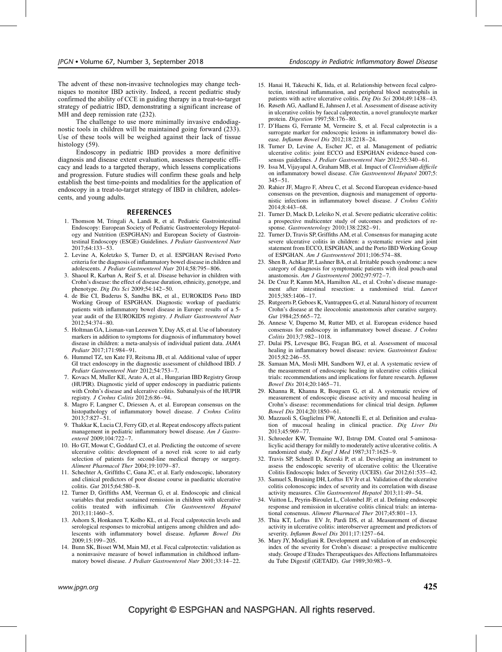The advent of these non-invasive technologies may change techniques to monitor IBD activity. Indeed, a recent pediatric study confirmed the ability of CCE in guiding therapy in a treat-to-target strategy of pediatric IBD, demonstrating a significant increase of MH and deep remission rate (232).

The challenge to use more minimally invasive endodiagnostic tools in children will be maintained going forward (233). Use of these tools will be weighed against their lack of tissue histology (59).

Endoscopy in pediatric IBD provides a more definitive diagnosis and disease extent evaluation, assesses therapeutic efficacy and leads to a targeted therapy, which lessens complications and progression. Future studies will confirm these goals and help establish the best time-points and modalities for the application of endoscopy in a treat-to-target strategy of IBD in children, adolescents, and young adults.

#### REFERENCES

- 1. Thomson M, Tringali A, Landi R, et al. Pediatric Gastrointestinal Endoscopy: European Society of Pediatric Gastroenterology Hepatology and Nutrition (ESPGHAN) and European Society of Gastrointestinal Endoscopy (ESGE) Guidelines. J Pediatr Gastroenterol Nutr 2017;64:133–53.
- 2. Levine A, Koletzko S, Turner D, et al. ESPGHAN Revised Porto criteria for the diagnosis of inflammatory bowel disease in children and adolescents. J Pediatr Gastroenterol Nutr 2014;58:795–806.
- 3. Shaoul R, Karban A, Reif S, et al. Disease behavior in children with Crohn's disease: the effect of disease duration, ethnicity, genotype, and phenotype. Dig Dis Sci 2009;54:142–50.
- 4. de Bie CI, Buderus S, Sandhu BK, et al., EUROKIDS Porto IBD Working Group of ESPGHAN. Diagnostic workup of paediatric patients with inflammatory bowel disease in Europe: results of a 5 year audit of the EUROKIDS registry. J Pediatr Gastroenterol Nutr 2012;54:374–80.
- 5. Holtman GA, Lisman-van Leeuwen Y, Day AS, et al. Use of laboratory markers in addition to symptoms for diagnosis of inflammatory bowel disease in children: a meta-analysis of individual patient data. JAMA Pediatr 2017;171:984–91.
- 6. Hummel TZ, ten Kate FJ, Reitsma JB, et al. Additional value of upper GI tract endoscopy in the diagnostic assessment of childhood IBD. J Pediatr Gastroenterol Nutr 2012;54:753–7.
- 7. Kovacs M, Muller KE, Arato A, et al., Hungarian IBD Registry Group (HUPIR). Diagnostic yield of upper endoscopy in paediatric patients with Crohn's disease and ulcerative colitis. Subanalysis of the HUPIR registry. J Crohns Colitis 2012;6:86–94.
- 8. Magro F, Langner C, Driessen A, et al. European consensus on the histopathology of inflammatory bowel disease. J Crohns Colitis 2013;7:827–51.
- 9. Thakkar K, Lucia CJ, Ferry GD, et al. Repeat endoscopy affects patient management in pediatric inflammatory bowel disease. Am J Gastroenterol 2009;104:722–7.
- 10. Ho GT, Mowat C, Goddard CJ, et al. Predicting the outcome of severe ulcerative colitis: development of a novel risk score to aid early selection of patients for second-line medical therapy or surgery. Aliment Pharmacol Ther 2004;19:1079–87.
- 11. Schechter A, Griffiths C, Gana JC, et al. Early endoscopic, laboratory and clinical predictors of poor disease course in paediatric ulcerative colitis. Gut 2015;64:580–8.
- 12. Turner D, Griffiths AM, Veerman G, et al. Endoscopic and clinical variables that predict sustained remission in children with ulcerative colitis treated with infliximab. Clin Gastroenterol Hepatol 2013;11:1460–5.
- 13. Ashorn S, Honkanen T, Kolho KL, et al. Fecal calprotectin levels and serological responses to microbial antigens among children and adolescents with inflammatory bowel disease. Inflamm Bowel Dis 2009;15:199–205.
- 14. Bunn SK, Bisset WM, Main MJ, et al. Fecal calprotectin: validation as a noninvasive measure of bowel inflammation in childhood inflammatory bowel disease. J Pediatr Gastroenterol Nutr 2001;33:14–22.
- 15. Hanai H, Takeuchi K, Iida, et al. Relationship between fecal calprotectin, intestinal inflammation, and peripheral blood neutrophils in patients with active ulcerative colitis. Dig Dis Sci 2004;49:1438–43.
- 16. Røseth AG, Aadland E, Jahnsen J, et al. Assessment of disease activity in ulcerative colitis by faecal calprotectin, a novel granulocyte marker protein. Digestion 1997;58:176–80.
- 17. D'Haens G, Ferrante M, Vermeire S, et al. Fecal calprotectin is a surrogate marker for endoscopic lesions in inflammatory bowel disease. Inflamm Bowel Dis 2012;18:2218–24.
- 18. Turner D, Levine A, Escher JC, et al. Management of pediatric ulcerative colitis: joint ECCO and ESPGHAN evidence-based consensus guidelines. J Pediatr Gastroenterol Nutr 2012;55:340–61.
- 19. Issa M, Vijayapal A, Graham MB, et al. Impact of Clostridium difficile on inflammatory bowel disease. Clin Gastroenterol Hepatol 2007;5: 345–51.
- 20. Rahier JF, Magro F, Abreu C, et al. Second European evidence-based consensus on the prevention, diagnosis and management of opportunistic infections in inflammatory bowel disease. J Crohns Colitis 2014;8:443–68.
- 21. Turner D, Mack D, Leleiko N, et al. Severe pediatric ulcerative colitis: a prospective multicenter study of outcomes and predictors of response. Gastroenterology 2010;138:2282–91.
- 22. Turner D, Travis SP, Griffiths AM, et al. Consensus for managing acute severe ulcerative colitis in children: a systematic review and joint statement from ECCO, ESPGHAN, and the Porto IBD Working Group of ESPGHAN. Am J Gastroenterol 2011;106:574–88.
- 23. Shen B, Achkar JP, Lashner BA, et al. Irritable pouch syndrome: a new category of diagnosis for symptomatic patients with ileal pouch-anal anastomosis. Am J Gastroenterol 2002;97:972–7.
- 24. De Cruz P, Kamm MA, Hamilton AL, et al. Crohn's disease management after intestinal resection: a randomised trial. Lancet 2015;385:1406–17.
- 25. Rutgeerts P, Geboes K, Vantrappen G, et al. Natural history of recurrent Crohn's disease at the ileocolonic anastomosis after curative surgery. Gut 1984;25:665–72.
- 26. Annese V, Daperno M, Rutter MD, et al. European evidence based consensus for endoscopy in inflammatory bowel disease. J Crohns Colitis 2013;7:982–1018.
- 27. Dulai PS, Levesque BG, Feagan BG, et al. Assessment of mucosal healing in inflammatory bowel disease: review. Gastrointest Endosc 2015;82:246–55.
- 28. Samaan MA, Mosli MH, Sandborn WJ, et al. A systematic review of the measurement of endoscopic healing in ulcerative colitis clinical trials: recommendations and implications for future research. Inflamm Bowel Dis 2014;20:1465–71.
- 29. Khanna R, Khanna R, Bouguen G, et al. A systematic review of measurement of endoscopic disease activity and mucosal healing in Crohn's disease: recommendations for clinical trial design. Inflamm Bowel Dis 2014;20:1850–61.
- 30. Mazzuoli S, Guglielmi FW, Antonelli E, et al. Definition and evaluation of mucosal healing in clinical practice. Dig Liver Dis 2013;45:969–77.
- 31. Schroeder KW, Tremaine WJ, Ilstrup DM. Coated oral 5-aminosalicylic acid therapy for mildly to moderately active ulcerative colitis. A randomized study. N Engl J Med 1987;317:1625–9.
- 32. Travis SP, Schnell D, Krzeski P, et al. Developing an instrument to assess the endoscopic severity of ulcerative colitis: the Ulcerative Colitis Endoscopic Index of Severity (UCEIS). Gut 2012;61:535–42.
- 33. Samuel S, Bruining DH, Loftus EV Jr et al. Validation of the ulcerative colitis colonoscopic index of severity and its correlation with disease activity measures. Clin Gastroenterol Hepatol 2013;11:49–54.
- 34. Vuitton L, Peyrin-Biroulet L, Colombel JF, et al. Defining endoscopic response and remission in ulcerative colitis clinical trials: an international consensus. Aliment Pharmacol Ther 2017;45:801–13.
- 35. Thia KT, Loftus EV Jr, Pardi DS, et al. Measurement of disease activity in ulcerative colitis: interobserver agreement and predictors of severity. Inflamm Bowel Dis 2011;17:1257–64.
- 36. Mary JY, Modigliani R. Development and validation of an endoscopic index of the severity for Crohn's disease: a prospective multicentre study. Groupe d'Etudes Therapeutiques des Affections Inflammatoires du Tube Digestif (GETAID). Gut 1989;30:983–9.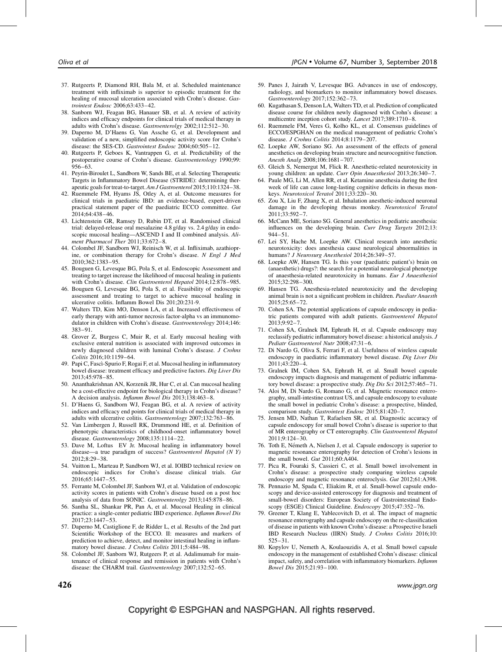- 37. Rutgeerts P, Diamond RH, Bala M, et al. Scheduled maintenance treatment with infliximab is superior to episodic treatment for the healing of mucosal ulceration associated with Crohn's disease. Gastrointest Endosc 2006;63:433–42.
- 38. Sanborn WJ, Feagan BG, Hanauer SB, et al. A review of activity indices and efficacy endpoints for clinical trials of medical therapy in adults with Crohn's disease. Gastroenterolgy 2002;112:512–30.
- 39. Daperno M, D'Haens G, Van Assche G, et al. Development and validation of a new, simplified endoscopic activity score for Crohn's disease: the SES-CD. Gastrointest Endosc 2004;60:505-12.
- 40. Rutgeerts P, Geboes K, Vantrappen G, et al. Predictability of the postoperative course of Crohn's disease. Gastroenterology 1990;99: 956–63.
- 41. Peyrin-Biroulet L, Sandborn W, Sands BE, et al. Selecting Therapeutic Targets in Inflammatory Bowel Disease (STRIDE): determining therapeutic goals for treat-to-target. Am J Gastroenterol 2015;110:1324–38.
- 42. Ruemmele FM, Hyams JS, Otley A, et al. Outcome measures for clinical trials in paediatric IBD: an evidence-based, expert-driven practical statement paper of the paediatric ECCO committee. Gut 2014;64:438–46.
- 43. Lichtenstein GR, Ramsey D, Rubin DT, et al. Randomised clinical trial: delayed-release oral mesalazine 4.8 g/day vs. 2.4 g/day in endoscopic mucosal healing—ASCEND I and II combined analysis. Aliment Pharmacol Ther 2011;33:672–8.
- 44. Colombel JF, Sandborn WJ, Reinisch W, et al. Infliximab, azathioprine, or combination therapy for Crohn's disease. N Engl J Med 2010;362:1383–95.
- 45. Bouguen G, Levesque BG, Pola S, et al. Endoscopic Assessment and treating to target increase the likelihood of mucosal healing in patients with Crohn's disease. Clin Gastroenterol Hepatol 2014;12:878–985.
- 46. Bouguen G, Levesque BG, Pola S, et al. Feasibility of endoscopic assessment and treating to target to achieve mucosal healing in ulcerative colitis. Inflamm Bowel Dis 201;20:231-9.
- 47. Walters TD, Kim MO, Denson LA, et al. Increased effectiveness of early therapy with anti-tumor necrosis factor-alpha vs an immunomodulator in children with Crohn's disease. Gastroenterology 2014;146: 383–91.
- 48. Grover Z, Burgess C, Muir R, et al. Early mucosal healing with exclusive enteral nutrition is associated with improved outcomes in newly diagnosed children with luminal Crohn's disease. J Crohns Colitis 2016;10:1159–64.
- 49. Papi C, Fascı`-Spurio F, Rogai F, et al. Mucosal healing in inflammatory bowel disease: treatment efficacy and predictive factors. Dig Liver Dis 2013;45:978–85.
- 50. Ananthakrishnan AN, Korzenik JR, Hur C, et al. Can mucosal healing be a cost-effective endpoint for biological therapy in Crohn's disease? A decision analysis. Inflamm Bowel Dis 2013;138:463–8.
- 51. D'Haens G, Sandborn WJ, Feagan BG, et al. A review of activity indices and efficacy end points for clinical trials of medical therapy in adults with ulcerative colitis. Gastroenterology 2007;132:763–86.
- 52. Van Limbergen J, Russell RK, Drummond HE, et al. Definition of phenotypic characteristics of childhood-onset inflammatory bowel disease. Gastroenterology 2008;135:1114–22.
- 53. Dave M, Loftus EV Jr. Mucosal healing in inflammatory bowel disease—a true paradigm of success? Gastroenterol Hepatol (N Y)  $2012.8.29 - 38$
- 54. Vuitton L, Marteau P, Sandborn WJ, et al. IOIBD technical review on endoscopic indices for Crohn's disease clinical trials. Gut 2016;65:1447–55.
- 55. Ferrante M, Colombel JF, Sanborn WJ, et al. Validation of endoscopic activity scores in patients with Crohn's disease based on a post hoc analysis of data from SONIC. Gastroenterolgy 2013;145:878–86.
- 56. Santha SL, Shankar PR, Pan A, et al. Mucosal Healing in clinical practice: a single-center pediatric IBD experience. Inflamm Bowel Dis 2017;23:1447–53.
- 57. Daperno M, Castiglione F, de Ridder L, et al. Results of the 2nd part Scientific Workshop of the ECCO. II: measures and markers of prediction to achieve, detect, and monitor intestinal healing in inflammatory bowel disease. J Crohns Colitis 2011;5:484-98.
- 58. Colombel JF, Sanborn WJ, Rutgeers P, et al. Adalimumab for maintenance of clinical response and remission in patients with Crohn's disease: the CHARM trail. Gastroenterology 2007;132:52–65.
- 59. Panes J, Jairath V, Levesque BG. Advances in use of endoscopy, radiology, and biomarkers to monitor inflammatory bowel diseases. Gastroenterology 2017;152:362–73.
- 60. Kugathasan S, Denson LA, Walters TD, et al. Prediction of complicated disease course for children newly diagnosed with Crohn's disease: a multicentre inception cohort study. Lancet 2017;389:1710–8.
- 61. Ruemmele FM, Veres G, Kolho KL, et al. Consensus guidelines of ECCO/ESPGHAN on the medical management of pediatric Crohn's disease. J Crohns Colitis 2014;8:1179–207.
- 62. Loepke AW, Soriano SG. An assessment of the effects of general anesthetics on developing brain structure and neurocognitive function. Anesth Analg 2008;106:1681–707.
- 63. Gleich S, Nemergut M, Flick R. Anesthetic-related neurotoxicity in young children: an update. Curr Opin Anaesthesiol 2013;26:340–7.
- 64. Paule MG, Li M, Allen RR, et al. Ketamine anesthesia during the first week of life can cause long-lasting cognitive deficits in rhesus monkeys. Neurotoxicol Teratol 2011;33:220–30.
- 65. Zou X, Liu F, Zhang X, et al. Inhalation anesthetic-induced neuronal damage in the developing rhesus monkey. Neurotoxicol Teratol 2011;33:592–7.
- 66. McCann ME, Soriano SG. General anesthetics in pediatric anesthesia: influences on the developing brain. Curr Drug Targets 2012;13: 944–51.
- 67. Lei SY, Hache M, Loepke AW. Clinical research into anesthetic neurotoxicity: does anesthesia cause neurological abnormalities in humans? J Neurosurg Anesthesiol 2014;26:349–57.
- 68. Loepke AW, Hansen TG. Is this your (paediatric patient's) brain on (anaesthetic) drugs?: the search for a potential neurological phenotype of anaesthesia-related neurotoxicity in humans. Eur J Anaesthesiol 2015;32:298–300.
- 69. Hansen TG. Anesthesia-related neurotoxicity and the developing animal brain is not a significant problem in children. Paediatr Anaesth 2015;25:65–72.
- 70. Cohen SA. The potential applications of capsule endoscopy in pediatric patients compared with adult patients. Gastroenterol Hepatol 2013;9:92–7.
- 71. Cohen SA, Gralnek IM, Ephrath H, et al. Capsule endoscopy may reclassify pediatric inflammatory bowel disease: a historical analysis. J Pediatr Gastroenterol Nutr 2008;47:31–6.
- 72. Di Nardo G, Oliva S, Ferrari F, et al. Usefulness of wireless capsule endoscopy in paediatric inflammatory bowel disease. Dig Liver Dis 2011;43:220–4.
- 73. Gralnek IM, Cohen SA, Ephrath H, et al. Small bowel capsule endoscopy impacts diagnosis and management of pediatric inflammatory bowel disease: a prospective study. Dig Dis Sci 2012;57:465–71.
- 74. Aloi M, Di Nardo G, Romano G, et al. Magnetic resonance enterography, small-intestine contrast US, and capsule endoscopy to evaluate the small bowel in pediatric Crohn's disease: a prospective, blinded, comparison study. Gastrointest Endosc 2015;81:420–7.
- 75. Jensen MD, Nathan T, Rafaelsen SR, et al. Diagnostic accuracy of capsule endoscopy for small bowel Crohn's disease is superior to that of MR enterography or CT enterography. Clin Gastroenterol Hepatol  $2011:9:124-30.$
- 76. Toth E, Németh A, Nielsen J, et al. Capsule endoscopy is superior to magnetic resonance enterography for detection of Crohn's lesions in the small bowel. Gut 2011;60:A404.
- 77. Pica R, Fouraki S, Cassieri C, et al. Small bowel involvement in Crohn's disease: a prospective study comparing wireless capsule endoscopy and magnetic resonance enteroclysis. Gut 2012;61:A398.
- 78. Pennazio M, Spada C, Eliakim R, et al. Small-bowel capsule endoscopy and device-assisted enteroscopy for diagnosis and treatment of small-bowel disorders: European Society of Gastrointestinal Endoscopy (ESGE) Clinical Guideline. Endoscopy 2015;47:352–76.
- 79. Greener T, Klang E, Yablecovitch D, et al. The impact of magnetic resonance enterography and capsule endoscopy on the re-classification of disease in patients with known Crohn's disease: a Prospective Israeli IBD Research Nucleus (IIRN) Study. J Crohns Colitis 2016;10: 525–31.
- 80. Kopylov U, Nemeth A, Koulaouzidis A, et al. Small bowel capsule endoscopy in the management of established Crohn's disease: clinical impact, safety, and correlation with inflammatory biomarkers. Inflamm Bowel Dis 2015;21:93–100.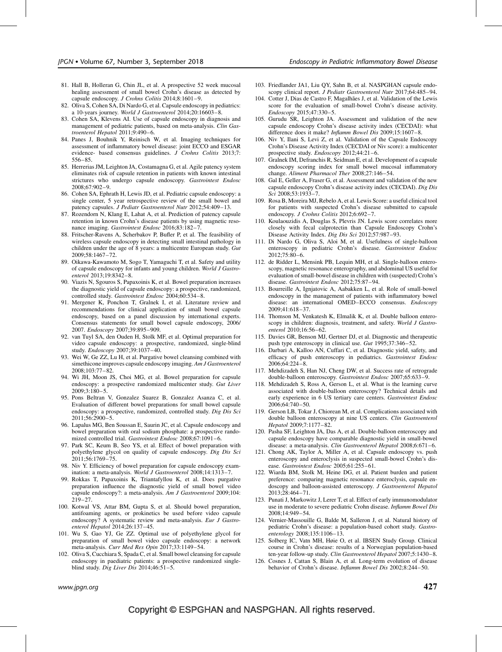- 81. Hall B, Holleran G, Chin JL, et al. A prospective 52 week mucosal healing assessment of small bowel Crohn's disease as detected by capsule endoscopy. J Crohns Colitis 2014;8:1601–9.
- 82. Oliva S, Cohen SA, Di Nardo G, et al. Capsule endoscopy in pediatrics: a 10-years journey. World J Gastroenterol 2014;20:16603–8.
- 83. Cohen SA, Klevens AI. Use of capsule endoscopy in diagnosis and management of pediatric patients, based on meta-analysis. Clin Gastroenterol Hepatol 2011;9:490–6.
- 84. Panes J, Bouhnik Y, Reinisch W, et al. Imaging techniques for assessment of inflammatory bowel disease: joint ECCO and ESGAR evidence- based consensus guidelines. J Crohns Colitis 2013;7: 556–85.
- 85. Herrerias JM, Leighton JA, Costamagna G, et al. Agile patency system eliminates risk of capsule retention in patients with known intestinal strictures who undergo capsule endoscopy. Gastrointest Endosc 2008;67:902–9.
- 86. Cohen SA, Ephrath H, Lewis JD, et al. Pediatric capsule endoscopy: a single center, 5 year retrospective review of the small bowel and patency capsules. J Pediatr Gastroenterol Nutr 2012;54:409–13.
- 87. Rozendorn N, Klang E, Lahat A, et al. Prediction of patency capsule retention in known Crohn's disease patients by using magnetic resonance imaging. Gastrointest Endosc 2016;83:182-7.
- 88. Fritscher-Ravens A, Scherbakov P, Bufler P, et al. The feasibility of wireless capsule endoscopy in detecting small intestinal pathology in children under the age of 8 years: a multicentre European study. Gut 2009;58:1467–72.
- 89. Oikawa-Kawamoto M, Sogo T, Yamaguchi T, et al. Safety and utility of capsule endoscopy for infants and young children. World J Gastroenterol 2013;19:8342–8.
- 90. Viazis N, Sgouros S, Papaxoinis K, et al. Bowel preparation increases the diagnostic yield of capsule endoscopy: a prospective, randomized, controlled study. Gastrointest Endosc 2004;60:534–8.
- 91. Mergener K, Ponchon T, Gralnek I, et al. Literature review and recommendations for clinical application of small bowel capsule endoscopy, based on a panel discussion by international experts. Consensus statements for small bowel capsule endoscopy, 2006/ 2007. Endoscopy 2007;39:895–909.
- 92. van Tuyl SA, den Ouden H, Stolk MF, et al. Optimal preparation for video capsule endoscopy: a prospective, randomized, single-blind study. Endoscopy 2007;39:1037–40.
- 93. Wei W, Ge ZZ, Lu H, et al. Purgative bowel cleansing combined with simethicone improves capsule endoscopy imaging. Am J Gastroenterol 2008;103:77–82.
- 94. Wi JH, Moon JS, Choi MG, et al. Bowel preparation for capsule endoscopy: a prospective randomized multicenter study. Gut Liver 2009;3:180–5.
- 95. Pons Beltran V, Gonzalez Suarez B, Gonzalez Asanza C, et al. Evaluation of different bowel preparations for small bowel capsule endoscopy: a prospective, randomized, controlled study. Dig Dis Sci 2011;56:2900–5.
- 96. Lapalus MG, Ben Soussan E, Saurin JC, et al. Capsule endoscopy and bowel preparation with oral sodium phosphate: a prospective randomized controlled trial. Gastrointest Endosc 2008:67:1091-6.
- 97. Park SC, Keum B, Seo YS, et al. Effect of bowel preparation with polyethylene glycol on quality of capsule endoscopy. Dig Dis Sci 2011;56:1769–75.
- 98. Niv Y. Efficiency of bowel preparation for capsule endoscopy examination: a meta-analysis. World J Gastroenterol 2008;14:1313–7.
- 99. Rokkas T, Papaxoinis K, Triantafyllou K, et al. Does purgative preparation influence the diagnostic yield of small bowel video capsule endoscopy?: a meta-analysis. Am J Gastroenterol 2009;104: 219–27.
- 100. Kotwal VS, Attar BM, Gupta S, et al. Should bowel preparation, antifoaming agents, or prokinetics be used before video capsule endoscopy? A systematic review and meta-analysis. Eur J Gastroenterol Hepatol 2014;26:137–45.
- 101. Wu S, Gao YJ, Ge ZZ. Optimal use of polyethylene glycol for preparation of small bowel video capsule endoscopy: a network meta-analysis. Curr Med Res Opin 2017;33:1149–54.
- 102. Oliva S, Cucchiara S, Spada C, et al. Small bowel cleansing for capsule endoscopy in paediatric patients: a prospective randomized singleblind study. Dig Liver Dis 2014;46:51–5.
- 103. Friedlander JA1, Liu QY, Sahn B, et al. NASPGHAN capsule endoscopy clinical report. J Pediatr Gastroenterol Nutr 2017;64:485-94.
- 104. Cotter J, Dias de Castro F, Magalhães J, et al. Validation of the Lewis score for the evaluation of small-bowel Crohn's disease activity. Endoscopy 2015;47:330–5.
- 105. Gurudu SR, Leighton JA. Assessment and validation of the new capsule endoscopy Crohn's disease activity index (CECDAI): what difference does it make? Inflamm Bowel Dis 2009;15:1607–8.
- 106. Niv Y, Ilani S, Levi Z, et al. Validation of the Capsule Endoscopy Crohn's Disease Activity Index (CECDAI or Niv score): a multicenter prospective study. Endoscopy 2012;44:21–6.
- 107. Gralnek IM, Defranchis R, Seidman E, et al. Development of a capsule endoscopy scoring index for small bowel mucosal inflammatory change. Aliment Pharmacol Ther 2008;27:146–54.
- 108. Gal E, Geller A, Fraser G, et al. Assessment and validation of the new capsule endoscopy Crohn's disease activity index (CECDAI). Dig Dis  $Sci$  2008;53:1933-7.
- 109. Rosa B, Moreira MJ, Rebelo A, et al. Lewis Score: a useful clinical tool for patients with suspected Crohn's disease submitted to capsule endoscopy. J Crohns Colitis 2012;6:692–7.
- 110. Koulaouzidis A, Douglas S, Plevris JN. Lewis score correlates more closely with fecal calprotectin than Capsule Endoscopy Crohn's Disease Activity Index. Dig Dis Sci 2012;57:987–93.
- 111. Di Nardo G, Oliva S, Aloi M, et al. Usefulness of single-balloon enteroscopy in pediatric Crohn's disease. Gastrointest Endosc 2012;75:80–6.
- 112. de Ridder L, Mensink PB, Lequin MH, et al. Single-balloon enteroscopy, magnetic resonance enterography, and abdominal US useful for evaluation of small-bowel disease in children with (suspected) Crohn's disease. Gastrointest Endosc 2012;75:87–94.
- 113. Bourreille A, Ignjatovic A, Aabakken L, et al. Role of small-bowel endoscopy in the management of patients with inflammatory bowel disease: an international OMED–ECCO consensus. Endoscopy 2009;41:618–37.
- 114. Thomson M, Venkatesh K, Elmalik K, et al. Double balloon enteroscopy in children: diagnosis, treatment, and safety. World J Gastroenterol 2010;16:56–62.
- 115. Davies GR, Benson MJ, Gertner DJ, et al. Diagnostic and therapeutic push type enteroscopy in clinical use. Gut 1995;37:346–52.
- 116. Darbari A, Kalloo AN, Cuffari C, et al. Diagnostic yield, safety, and efficacy of push enteroscopy in pediatrics. Gastrointest Endosc 2006;64:224–8.
- 117. Mehdizadeh S, Han NJ, Cheng DW, et al. Success rate of retrograde double-balloon enteroscopy. Gastrointest Endosc 2007;65:633–9.
- 118. Mehdizadeh S, Ross A, Gerson L, et al. What is the learning curve associated with double-balloon enteroscopy? Technical details and early experience in 6 US tertiary care centers. Gastrointest Endosc 2006;64:740–50.
- 119. Gerson LB, Tokar J, Chiorean M, et al. Complications associated with double balloon enteroscopy at nine US centers. Clin Gastroenterol Hepatol 2009;7:1177–82.
- 120. Pasha SF, Leighton JA, Das A, et al. Double-balloon enteroscopy and capsule endoscopy have comparable diagnostic yield in small-bowel disease: a meta-analysis. Clin Gastroenterol Hepatol 2008;6:671–6.
- 121. Chong AK, Taylor A, Miller A, et al. Capsule endoscopy vs. push enteroscopy and enteroclysis in suspected small-bowel Crohn's disease. Gastrointest Endosc 2005;61:255–61.
- 122. Wiarda BM, Stolk M, Heine DG, et al. Patient burden and patient preference: comparing magnetic resonance enteroclysis, capsule endoscopy and balloon-assisted enteroscopy. J Gastroenterol Hepatol 2013;28:464–71.
- 123. Punati J, Markowitz J, Lerer T, et al. Effect of early immunomodulator use in moderate to severe pediatric Crohn disease. Inflamm Bowel Dis 2008;14:949–54.
- 124. Vernier-Massouille G, Balde M, Salleron J, et al. Natural history of pediatric Crohn's disease: a population-based cohort study. Gastroenterology 2008;135:1106–13.
- 125. Solberg IC, Vatn MH, Høie O, et al. IBSEN Study Group. Clinical course in Crohn's disease: results of a Norwegian population-based ten-year follow-up study. Clin Gastroenterol Hepatol 2007;5:1430–8.
- 126. Cosnes J, Cattan S, Blain A, et al. Long-term evolution of disease behavior of Crohn's disease. Inflamm Bowel Dis 2002;8:244–50.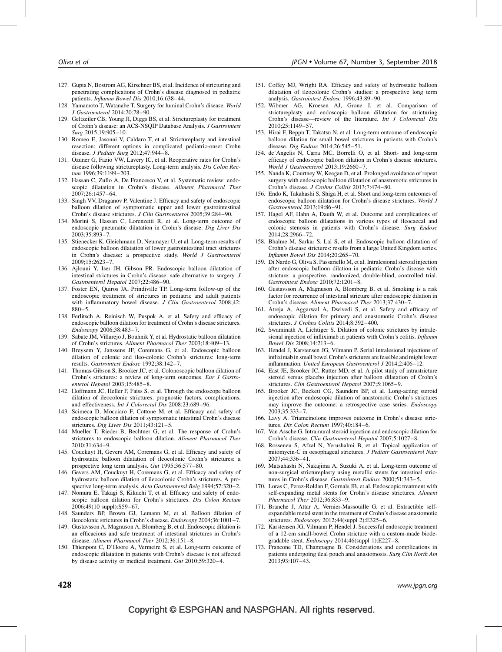- 127. Gupta N, Bostrom AG, Kirschner BS, et al. Incidence of stricturing and penetrating complications of Crohn's disease diagnosed in pediatric patients. *Inflamm Bowel Dis* 2010;16:638-44.
- 128. Yamamoto T, Watanabe T. Surgery for luminal Crohn's disease. World J Gastroenterol 2014;20:78–90.
- 129. Geltzeiler CB, Young JI, Diggs BS, et al. Strictureplasty for treatment of Crohn's disease: an ACS-NSQIP Database Analysis. J Gastrointest Surg 2015;19:905–10.
- 130. Romeo E, Jasonni V, Caldaro T, et al. Strictureplasty and intestinal resection: different options in complicated pediatric-onset Crohn disease. J Pediatr Surg 2012;47:944–8.
- 131. Ozuner G, Fazio VW, Lavery IC, et al. Reoperative rates for Crohn's disease following strictureplasty. Long-term analysis. Dis Colon Rectum 1996;39:1199–203.
- 132. Hassan C, Zullo A, De Francesco V, et al. Systematic review: endoscopic dilatation in Crohn's disease. Aliment Pharmacol Ther 2007;26:1457–64.
- 133. Singh VV, Draganov P, Valentine J. Efficacy and safety of endoscopic balloon dilation of symptomatic upper and lower gastrointestinal Crohn's disease strictures. J Clin Gastroenterol 2005;39:284–90.
- 134. Morini S, Hassan C, Lorenzetti R, et al. Long-term outcome of endoscopic pneumatic dilatation in Crohn's disease. Dig Liver Dis 2003;35:893–7.
- 135. Stienecker K, Gleichmann D, Neumayer U, et al. Long-term results of endoscopic balloon dilatation of lower gastrointestinal tract strictures in Crohn's disease: a prospective study. World J Gastroenterol 2009;15:2623–7.
- 136. Ajlouni Y, Iser JH, Gibson PR. Endoscopic balloon dilatation of intestinal strictures in Crohn's disease: safe alternative to surgery. J Gastroenterol Hepatol 2007;22:486–90.
- 137. Foster EN, Quiros JA, Prindiville TP. Long-term follow-up of the endoscopic treatment of strictures in pediatric and adult patients with inflammatory bowel disease. *J Clin Gastroenterol*  $2008;42$ : 880–5.
- 138. Ferlitsch A, Reinisch W, Puspok A, et al. Safety and efficacy of endoscopic balloon dilation for treatment of Crohn's disease strictures. Endoscopy 2006;38:483–7.
- 139. Sabate JM, Villarejo J, Bouhnik Y, et al. Hydrostatic balloon dilatation of Crohn's strictures. Aliment Pharmacol Ther 2003;18:409–13.
- 140. Breysem Y, Janssens JF, Coremans G, et al. Endoscopic balloon dilation of colonic and ileo-colonic Crohn's strictures: long-term results. Gastrointest Endosc 1992;38:142–7.
- 141. Thomas-Gibson S, Brooker JC, et al. Colonoscopic balloon dilation of Crohn's strictures: a review of long-term outcomes. Eur J Gastroenterol Hepatol 2003;15:485–8.
- 142. Hoffmann JC, Heller F, Faiss S, et al. Through the endoscope balloon dilation of ileocolonic strictures: prognostic factors, complications, and effectiveness. Int J Colorectal Dis 2008;23:689–96.
- 143. Scimeca D, Mocciaro F, Cottone M, et al. Efficacy and safety of endoscopic balloon dilation of symptomatic intestinal Crohn's disease strictures. Dig Liver Dis 2011;43:121-5.
- 144. Mueller T, Rieder B, Bechtner G, et al. The response of Crohn's strictures to endoscopic balloon dilation. Aliment Pharmacol Ther 2010;31:634–9.
- 145. Couckuyt H, Gevers AM, Coremans G, et al. Efficacy and safety of hydrostatic balloon dilatation of ileocolonic Crohn's strictures: a prospective long term analysis. Gut 1995;36:577–80.
- 146. Gevers AM, Couckuyt H, Coremans G, et al. Efficacy and safety of hydrostatic balloon dilation of ileocolonic Crohn's strictures. A prospective long-term analysis. Acta Gastroenterol Belg 1994:57:320-2.
- 147. Nomura E, Takagi S, Kikuchi T, et al. Efficacy and safety of endoscopic balloon dilation for Crohn's strictures. Dis Colon Rectum 2006;49(10 suppl):S59–67.
- 148. Saunders BP, Brown GJ, Lemann M, et al. Balloon dilation of ileocolonic strictures in Crohn's disease. Endoscopy 2004;36:1001–7.
- 149. Gustavsson A, Magnuson A, Blomberg B, et al. Endoscopic dilation is an efficacious and safe treatment of intestinal strictures in Crohn's disease. Aliment Pharmacol Ther 2012;36:151–8.
- 150. Thienpont C, D'Hoore A, Vermeire S, et al. Long-term outcome of endoscopic dilatation in patients with Crohn's disease is not affected by disease activity or medical treatment. Gut 2010;59:320–4.
- 151. Coffey MJ, Wright RA. Efficacy and safety of hydrostatic balloon dilatation of ileocolonic Crohn's studies: a prospective long term analysis. Gastrointest Endosc 1996;43:89–90.
- 152. Wibmer AG, Kroesen AJ, Grone J, et al. Comparison of strictureplasty and endoscopic balloon dilatation for stricturing Crohn's disease—review of the literature. Int J Colorectal Dis 2010;25:1149–57.
- 153. Hirai F, Beppu T, Takatsu N, et al. Long-term outcome of endoscopic balloon dilation for small bowel strictures in patients with Crohn's disease. Dig Endosc 2014;26:545–51.
- 154. de'Angelis N, Carra MC, Borrelli O, et al. Short- and long-term efficacy of endoscopic balloon dilation in Crohn's disease strictures. World J Gastroenterol 2013;19:2660–7.
- 155. Nanda K, Courtney W, Keegan D, et al. Prolonged avoidance of repeat surgery with endoscopic balloon dilatation of anastomotic strictures in Crohn's disease. J Crohns Colitis 2013;7:474–80.
- 156. Endo K, Takahashi S, Shiga H, et al. Short and long-term outcomes of endoscopic balloon dilatation for Crohn's disease strictures. World J Gastroenterol 2013;19:86–91.
- 157. Hagel AF, Hahn A, Dauth W, et al. Outcome and complications of endoscopic balloon dilatations in various types of ileocaecal and colonic stenosis in patients with Crohn's disease. Surg Endosc 2014;28:2966–72.
- 158. Bhalme M, Sarkar S, Lal S, et al. Endoscopic balloon dilatation of Crohn's disease strictures: results from a large United Kingdom series. Inflamm Bowel Dis 2014;20:265–70.
- 159. Di Nardo G, Oliva S, Passariello M, et al. Intralesional steroid injection after endoscopic balloon dilation in pediatric Crohn's disease with stricture: a prospective, randomized, double-blind, controlled trial. Gastrointest Endosc 2010;72:1201–8.
- 160. Gustavsson A, Magnuson A, Blomberg B, et al. Smoking is a risk factor for recurrence of intestinal stricture after endoscopic dilation in Crohn's disease. Aliment Pharmacol Ther 2013;37:430–7.
- 161. Atreja A, Aggarwal A, Dwivedi S, et al. Safety and efficacy of endoscopic dilation for primary and anastomotic Crohn's disease strictures. J Crohns Colitis 2014;8:392–400.
- 162. Swaminath A, Lichtiger S. Dilation of colonic strictures by intralesional injection of infliximab in patients with Crohn's colitis. Inflamm Bowel Dis 2008;14:213–6.
- 163. Hendel J, Karstensen JG, Vilmann P. Serial intralesional injections of infliximab in small bowel Crohn's strictures are feasible and might lower inflammation. United European Gastroenterol J 2014;2:406–12.
- 164. East JE, Brooker JC, Rutter MD, et al. A pilot study of intrastricture steroid versus placebo injection after balloon dilatation of Crohn's strictures. Clin Gastroenterol Hepatol 2007;5:1065–9.
- 165. Brooker JC, Beckett CG, Saunders BP, et al. Long-acting steroid injection after endoscopic dilation of anastomotic Crohn's strictures may improve the outcome: a retrospective case series. Endoscopy 2003;35:333–7.
- 166. Lavy A. Triamcinolone improves outcome in Crohn's disease strictures. Dis Colon Rectum 1997;40:184–6.
- 167. Van Assche G. Intramural steroid injection and endoscopic dilation for Crohn's disease. Clin Gastroenterol Hepatol 2007;5:1027–8.
- 168. Rosseneu S, Afzal N, Yerushalmi B, et al. Topical application of mitomycin-C in oesophageal strictures. J Pediatr Gastroenterol Nutr 2007;44:336–41.
- 169. Matsuhashi N, Nakajima A, Suzuki A, et al. Long-term outcome of non-surgical strictureplasty using metallic stents for intestinal strictures in Crohn's disease. Gastrointest Endosc 2000;51:343–5.
- 170. Loras C, Perez-Roldan F, Gornals JB, et al. Endoscopic treatment with self-expanding metal stents for Crohn's disease strictures. Aliment Pharmacol Ther 2012;36:833–9.
- 171. Branche J, Attar A, Vernier-Massouille G, et al. Extractible selfexpandable metal stent in the treatment of Crohn's disease anastomotic strictures. Endoscopy 2012;44(suppl 2):E325–6.
- 172. Karstensen JG, Vilmann P, Hendel J. Successful endoscopic treatment of a 12-cm small-bowel Crohn stricture with a custom-made biodegradable stent. Endoscopy 2014;46(suppl 1):E227–8.
- 173. Francone TD, Champagne B. Considerations and complications in patients undergoing ileal pouch anal anastomosis. Surg Clin North Am 2013;93:107–43.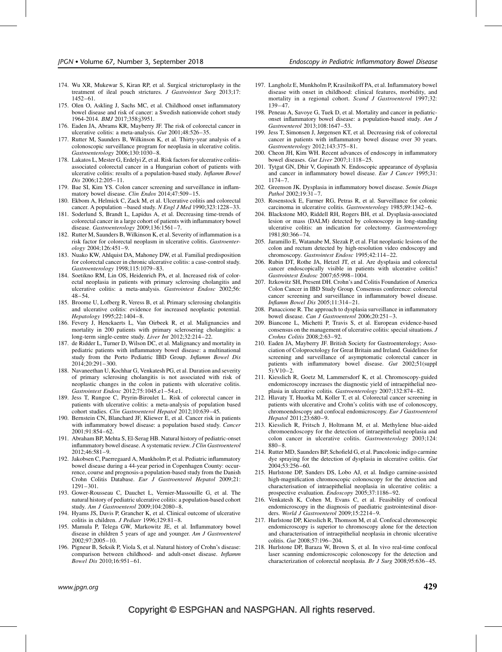- 174. Wu XR, Mukewar S, Kiran RP, et al. Surgical stricturoplasty in the treatment of ileal pouch strictures. J Gastrointest Surg 2013;17: 1452–61.
- 175. Olen O, Askling J, Sachs MC, et al. Childhood onset inflammatory bowel disease and risk of cancer: a Swedish nationwide cohort study 1964-2014. BMJ 2017;358:j3951.
- 176. Eaden JA, Abrams KR, Mayberry JF. The risk of colorectal cancer in ulcerative colitis: a meta-analysis. Gut 2001;48:526–35.
- 177. Rutter M, Saunders B, Wilkinson K, et al. Thirty-year analysis of a colonoscopic surveillance program for neoplasia in ulcerative colitis. Gastroenterology 2006;130:1030–8.
- 178. Lakatos L, Mester G, Erdelyi Z, et al. Risk factors for ulcerative colitisassociated colorectal cancer in a Hungarian cohort of patients with ulcerative colitis: results of a population-based study. Inflamm Bowel Dis 2006;12:205–11.
- 179. Bae SI, Kim YS. Colon cancer screening and surveillance in inflammatory bowel disease. Clin Endos 2014;47:509–15.
- 180. Ekbom A, Helmick C, Zack M, et al. Ulcerative colitis and colorectal cancer. A population –based study. N Engl J Med 1990;323:1228–33.
- 181. Soderlund S, Brandt L, Lapidus A, et al. Decreasing time-trends of colorectal cancer in a large cohort of patients with inflammatory bowel disease. Gastroenterology 2009;136:1561–7.
- 182. Rutter M, Saunders B, Wilkinson K, et al. Severity of inflammation is a risk factor for colorectal neoplasm in ulcerative colitis. Gastroenterology 2004;126:451–9.
- 183. Nuako KW, Ahlquist DA, Mahoney DW, et al. Familial predisposition for colorectal cancer in chronic ulcerative colitis: a case-control study. Gastroenterology 1998;115:1079–83.
- 184. Soetikno RM, Lin OS, Heidenrich PA, et al. Increased risk of colorectal neoplasia in patients with primary sclerosing cholangitis and ulcerative colitis: a meta-analysis. Gastrointest Endosc 2002;56: 48–54.
- 185. Broome U, Lofberg R, Veress B, et al. Primary sclerosing cholangitis and ulcerative colitis: evidence for increased neoplastic potential. Hepatology 1995;22:1404–8.
- 186. Fevery J, Henckaerts L, Van Oirbeek R, et al. Malignancies and mortality in 200 patients with primary sclerosering cholangitis: a long-term single-centre study. Liver Int 2012;32:214–22.
- 187. de Ridder L, Turner D, Wilson DC, et al. Malignancy and mortality in pediatric patients with inflammatory bowel disease: a multinational study from the Porto Pediatric IBD Group. Inflamm Bowel Dis  $2014:20:291-300$ .
- 188. Navaneethan U, Kochhar G, Venkatesh PG, et al. Duration and severity of primary sclerosing cholangitis is not associated with risk of neoplastic changes in the colon in patients with ulcerative colitis. Gastrointest Endosc 2012;75:1045.e1–54.e1.
- 189. Jess T, Rungoe C, Peyrin-Biroulet L. Risk of colorectal cancer in patients with ulcerative colitis: a meta-analysis of population based cohort studies. Clin Gastroenterol Hepatol 2012;10:639–45.
- 190. Bernstein CN, Blanchard JF, Kliewer E, et al. Cancer risk in patients with inflammatory bowel disease: a population based study. Cancer 2001;91:854–62.
- 191. Abraham BP, Mehta S, El-Serag HB. Natural history of pediatric-onset inflammatory bowel disease. A systematic review. J Clin Gastroenterol 2012;46:581–9.
- 192. Jakobsen C, Paerregaard A, Munkholm P, et al. Pediatric inflammatory bowel disease during a 44-year period in Copenhagen County: occurrence, course and prognosis-a population-based study from the Danish Crohn Colitis Database. Eur J Gastroenterol Hepatol 2009;21: 1291–301.
- 193. Gower-Rousseau C, Dauchet L, Vernier-Massouille G, et al. The natural history of pediatric ulcerative colitis: a population-based cohort study. Am J Gastroenterol 2009;104:2080–8.
- 194. Hyams JS, Davis P, Grancher K, et al. Clinical outcome of ulcerative colitis in children. J Pediatr 1996;129:81-8.
- 195. Mamula P, Telega GW, Markowitz JE, et al. Inflammatory bowel disease in children 5 years of age and younger. Am J Gastroenterol 2002;97:2005–10.
- 196. Pigneur B, Seksik P, Viola S, et al. Natural history of Crohn's disease: comparison between childhood- and adult-onset disease. Inflamm Bowel Dis 2010;16:951–61.
- 197. Langholz E, Munkholm P, Krasilnikoff PA, et al. Inflammatory bowel disease with onset in childhood: clinical features, morbidity, and mortality in a regional cohort. Scand J Gastroenterol 1997;32: 139–47.
- 198. Peneau A, Savoye G, Tuek D, et al. Mortality and cancer in pediatriconset inflammatory bowel disease: a population-based study. Am J Gastroenterol 2013;108:1647–53.
- 199. Jess T, Simonsen J, Jørgensen KT, et al. Decreasing risk of colorectal cancer in patients with inflammatory bowel disease over 30 years. Gastroenterology 2012;143:375–81.
- 200. Cheon JH, Kim WH. Recent advances of endoscopy in inflammatory bowel diseases. Gut Liver 2007;1:118–25.
- 201. Tytgat GN, Dhir V, Gopinath N. Endoscopic appearance of dysplasia and cancer in inflammatory bowel disease. Eur J Cancer 1995;31: 1174–7.
- 202. Greenson JK. Dysplasia in inflammatory bowel disease. Semin Diagn Pathol 2002;19:31–7.
- 203. Rosenstock E, Farmer RG, Petras R, et al. Surveillance for colonic carcinoma in ulcerative colitis. Gastroenterology 1985;89:1342–6.
- 204. Blackstone MO, Riddell RH, Rogers BH, et al. Dysplasia-associated lesion or mass (DALM) detected by colonoscopy in long-standing ulcerative colitis: an indication for colectomy. Gastroenterology 1981;80:366–74.
- 205. Jaramillo E, Watanabe M, Slezak P, et al. Flat neoplastic lesions of the colon and rectum detected by high-resolution video endoscopy and chromoscopy. Gastrointest Endosc 1995;42:114–22.
- 206. Rubin DT, Rothe JA, Hetzel JT, et al. Are dysplasia and colorectal cancer endoscopically visible in patients with ulcerative colitis? Gastrointest Endosc 2007;65:998–1004.
- 207. Itzkowitz SH, Present DH. Crohn's and Colitis Foundation of America Colon Cancer in IBD Study Group. Consensus conference: colorectal cancer screening and surveillance in inflammatory bowel disease. Inflamm Bowel Dis 2005;11:314–21.
- 208. Panaccione R. The approach to dysplasia surveillance in inflammatory bowel disease. Can J Gastroenterol 2006;20:251–3.
- 209. Biancone L, Michetti P, Travis S, et al. European evidence-based consensus on the management of ulcerative colitis: special situations. J Crohns Colitis 2008;2:63–92.
- 210. Eaden JA, Mayberry JF. British Society for Gastroenterology; Association of Coloproctology for Great Britain and Ireland. Guidelines for screening and surveillance of asymptomatic colorectal cancer in patients with inflammatory bowel disease. Gut 2002;51(suppl 5):V10–2.
- 211. Kiesslich R, Goetz M, Lammersdorf K, et al. Chromoscopy-guided endomicroscopy increases the diagnostic yield of intraepithelial neoplasia in ulcerative colitis. Gastroenterology 2007;132:874–82.
- 212. Hlavaty T, Huorka M, Koller T, et al. Colorectal cancer screening in patients with ulcerative and Crohn's colitis with use of colonoscopy, chromoendoscopy and confocal endomicroscopy. Eur J Gastroenterol Hepatol 2011;23:680–9.
- 213. Kiesslich R, Fritsch J, Holtmann M, et al. Methylene blue-aided chromoendoscopy for the detection of intraepithelial neoplasia and colon cancer in ulcerative colitis. Gastroenterology 2003;124: 880–8.
- 214. Rutter MD, Saunders BP, Schofield G, et al. Pancolonic indigo carmine dye spraying for the detection of dysplasia in ulcerative colitis. Gut 2004;53:256–60.
- 215. Hurlstone DP, Sanders DS, Lobo AJ, et al. Indigo carmine-assisted high-magnification chromoscopic colonoscopy for the detection and characterisation of intraepithelial neoplasia in ulcerative colitis: a prospective evaluation. Endoscopy 2005;37:1186–92.
- 216. Venkatesh K, Cohen M, Evans C, et al. Feasibility of confocal endomicroscopy in the diagnosis of paediatric gastrointestinal disorders. World J Gastroenterol 2009;15:2214-9.
- 217. Hurlstone DP, Kiesslich R, Thomson M, et al. Confocal chromoscopic endomicroscopy is superior to chromoscopy alone for the detection and characterisation of intraepithelial neoplasia in chronic ulcerative colitis. Gut 2008;57:196–204.
- 218. Hurlstone DP, Baraza W, Brown S, et al. In vivo real-time confocal laser scanning endomicroscopic colonoscopy for the detection and characterization of colorectal neoplasia. Br J Surg 2008;95:636–45.